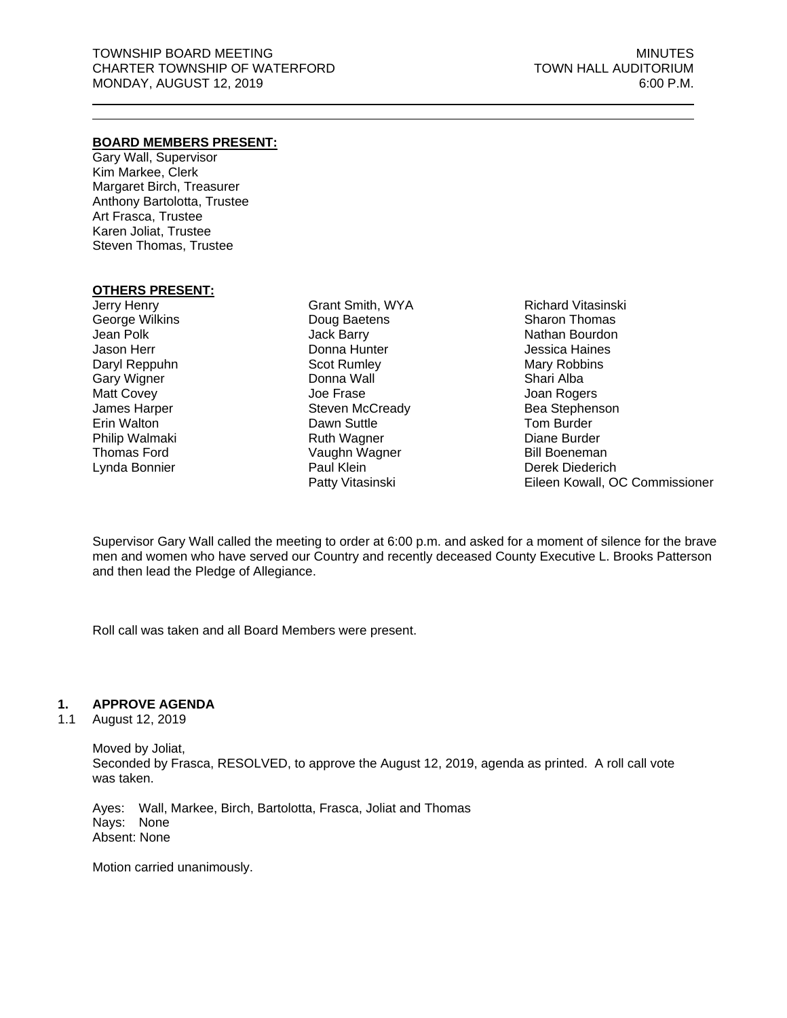# **BOARD MEMBERS PRESENT:**

Gary Wall, Supervisor Kim Markee, Clerk Margaret Birch, Treasurer Anthony Bartolotta, Trustee Art Frasca, Trustee Karen Joliat, Trustee Steven Thomas, Trustee

# **OTHERS PRESENT:**

Jerry Henry George Wilkins Jean Polk Jason Herr Daryl Reppuhn Gary Wigner Matt Covey James Harper Erin Walton Philip Walmaki Thomas Ford Lynda Bonnier

Grant Smith, WYA Doug Baetens Jack Barry Donna Hunter Scot Rumley Donna Wall Joe Frase Steven McCready Dawn Suttle Ruth Wagner Vaughn Wagner Paul Klein Patty Vitasinski

Richard Vitasinski Sharon Thomas Nathan Bourdon Jessica Haines Mary Robbins Shari Alba Joan Rogers Bea Stephenson Tom Burder Diane Burder Bill Boeneman Derek Diederich Eileen Kowall, OC Commissioner

Supervisor Gary Wall called the meeting to order at 6:00 p.m. and asked for a moment of silence for the brave men and women who have served our Country and recently deceased County Executive L. Brooks Patterson and then lead the Pledge of Allegiance.

Roll call was taken and all Board Members were present.

# **1. APPROVE AGENDA**

#### 1.1 August 12, 2019

Moved by Joliat, Seconded by Frasca, RESOLVED, to approve the August 12, 2019, agenda as printed. A roll call vote was taken.

Ayes: Wall, Markee, Birch, Bartolotta, Frasca, Joliat and Thomas Nays: None Absent: None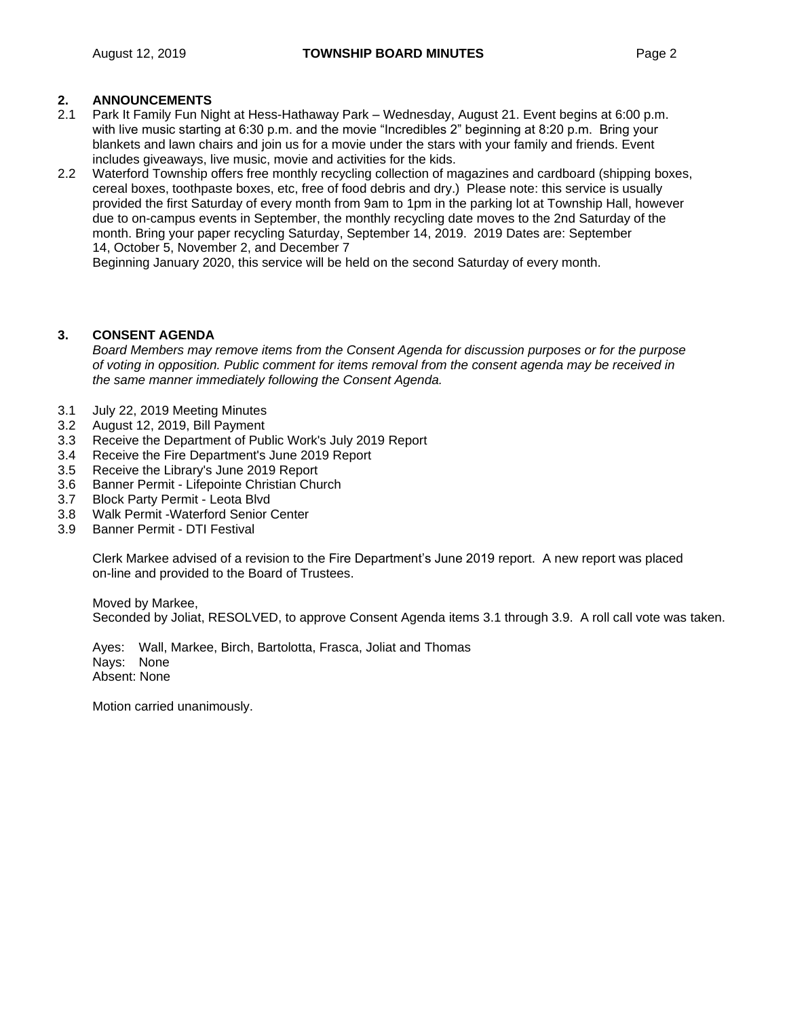# **2. ANNOUNCEMENTS**

- 2.1 Park It Family Fun Night at Hess-Hathaway Park Wednesday, August 21. Event begins at 6:00 p.m. with live music starting at 6:30 p.m. and the movie "Incredibles 2" beginning at 8:20 p.m. Bring your blankets and lawn chairs and join us for a movie under the stars with your family and friends. Event includes giveaways, live music, movie and activities for the kids.
- 2.2 Waterford Township offers free monthly recycling collection of magazines and cardboard (shipping boxes, cereal boxes, toothpaste boxes, etc, free of food debris and dry.) Please note: this service is usually provided the first Saturday of every month from 9am to 1pm in the parking lot at Township Hall, however due to on-campus events in September, the monthly recycling date moves to the 2nd Saturday of the month. Bring your paper recycling Saturday, September 14, 2019. 2019 Dates are: September 14, October 5, November 2, and December 7

Beginning January 2020, this service will be held on the second Saturday of every month.

# **3. CONSENT AGENDA**

*Board Members may remove items from the Consent Agenda for discussion purposes or for the purpose of voting in opposition. Public comment for items removal from the consent agenda may be received in the same manner immediately following the Consent Agenda.*

- 3.1 July 22, 2019 Meeting Minutes
- 3.2 August 12, 2019, Bill Payment
- 3.3 Receive the Department of Public Work's July 2019 Report
- 3.4 Receive the Fire Department's June 2019 Report
- 3.5 Receive the Library's June 2019 Report
- 3.6 Banner Permit Lifepointe Christian Church
- 3.7 Block Party Permit Leota Blvd
- 3.8 Walk Permit -Waterford Senior Center
- 3.9 Banner Permit DTI Festival

Clerk Markee advised of a revision to the Fire Department's June 2019 report. A new report was placed on-line and provided to the Board of Trustees.

Moved by Markee, Seconded by Joliat, RESOLVED, to approve Consent Agenda items 3.1 through 3.9. A roll call vote was taken.

Ayes: Wall, Markee, Birch, Bartolotta, Frasca, Joliat and Thomas Nays: None Absent: None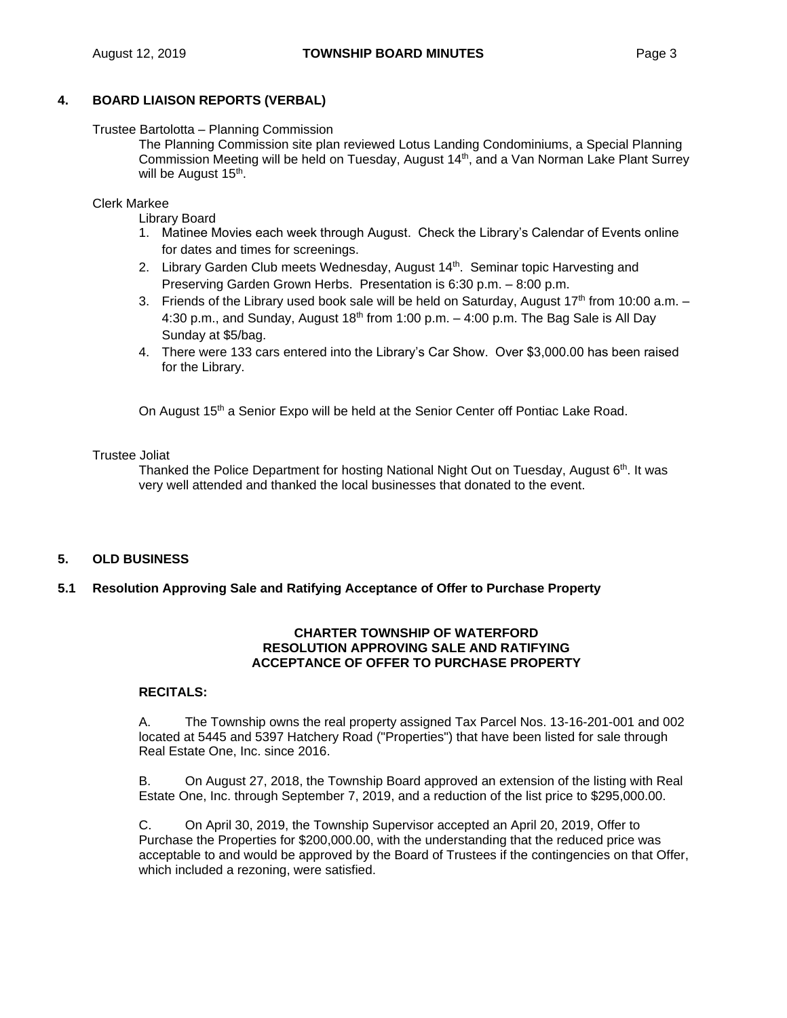Trustee Bartolotta – Planning Commission

The Planning Commission site plan reviewed Lotus Landing Condominiums, a Special Planning Commission Meeting will be held on Tuesday, August 14<sup>th</sup>, and a Van Norman Lake Plant Surrey will be August 15<sup>th</sup>.

Clerk Markee

Library Board

- 1. Matinee Movies each week through August. Check the Library's Calendar of Events online for dates and times for screenings.
- 2. Library Garden Club meets Wednesday, August 14<sup>th</sup>. Seminar topic Harvesting and Preserving Garden Grown Herbs. Presentation is 6:30 p.m. – 8:00 p.m.
- 3. Friends of the Library used book sale will be held on Saturday, August  $17<sup>th</sup>$  from 10:00 a.m.  $-$ 4:30 p.m., and Sunday, August  $18<sup>th</sup>$  from 1:00 p.m.  $-$  4:00 p.m. The Bag Sale is All Day Sunday at \$5/bag.
- 4. There were 133 cars entered into the Library's Car Show. Over \$3,000.00 has been raised for the Library.

On August 15<sup>th</sup> a Senior Expo will be held at the Senior Center off Pontiac Lake Road.

#### Trustee Joliat

Thanked the Police Department for hosting National Night Out on Tuesday, August 6<sup>th</sup>, It was very well attended and thanked the local businesses that donated to the event.

# **5. OLD BUSINESS**

# **5.1 Resolution Approving Sale and Ratifying Acceptance of Offer to Purchase Property**

#### **CHARTER TOWNSHIP OF WATERFORD RESOLUTION APPROVING SALE AND RATIFYING ACCEPTANCE OF OFFER TO PURCHASE PROPERTY**

#### **RECITALS:**

A. The Township owns the real property assigned Tax Parcel Nos. 13-16-201-001 and 002 located at 5445 and 5397 Hatchery Road ("Properties") that have been listed for sale through Real Estate One, Inc. since 2016.

B. On August 27, 2018, the Township Board approved an extension of the listing with Real Estate One, Inc. through September 7, 2019, and a reduction of the list price to \$295,000.00.

C. On April 30, 2019, the Township Supervisor accepted an April 20, 2019, Offer to Purchase the Properties for \$200,000.00, with the understanding that the reduced price was acceptable to and would be approved by the Board of Trustees if the contingencies on that Offer, which included a rezoning, were satisfied.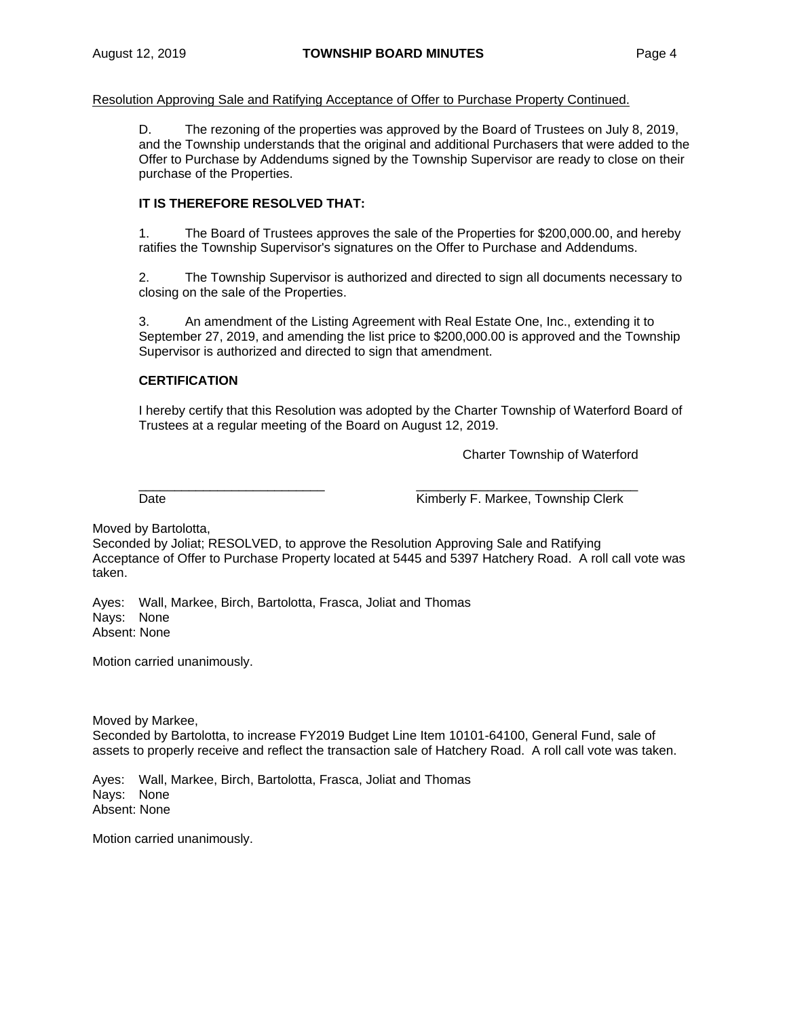Resolution Approving Sale and Ratifying Acceptance of Offer to Purchase Property Continued.

D. The rezoning of the properties was approved by the Board of Trustees on July 8, 2019, and the Township understands that the original and additional Purchasers that were added to the Offer to Purchase by Addendums signed by the Township Supervisor are ready to close on their purchase of the Properties.

# **IT IS THEREFORE RESOLVED THAT:**

1. The Board of Trustees approves the sale of the Properties for \$200,000.00, and hereby ratifies the Township Supervisor's signatures on the Offer to Purchase and Addendums.

2. The Township Supervisor is authorized and directed to sign all documents necessary to closing on the sale of the Properties.

3. An amendment of the Listing Agreement with Real Estate One, Inc., extending it to September 27, 2019, and amending the list price to \$200,000.00 is approved and the Township Supervisor is authorized and directed to sign that amendment.

# **CERTIFICATION**

I hereby certify that this Resolution was adopted by the Charter Township of Waterford Board of Trustees at a regular meeting of the Board on August 12, 2019.

Charter Township of Waterford

\_\_\_\_\_\_\_\_\_\_\_\_\_\_\_\_\_\_\_\_\_\_\_\_\_\_ \_\_\_\_\_\_\_\_\_\_\_\_\_\_\_\_\_\_\_\_\_\_\_\_\_\_\_\_\_\_\_ Date **Contract Contract Contract Contract Contract Contract Contract Contract Contract Contract Contract Contract Contract Contract Contract Contract Contract Contract Contract Contract Contract Contract Contract Contract** 

Moved by Bartolotta,

Seconded by Joliat; RESOLVED, to approve the Resolution Approving Sale and Ratifying Acceptance of Offer to Purchase Property located at 5445 and 5397 Hatchery Road. A roll call vote was taken.

Ayes: Wall, Markee, Birch, Bartolotta, Frasca, Joliat and Thomas Nays: None Absent: None

Motion carried unanimously.

Moved by Markee,

Seconded by Bartolotta, to increase FY2019 Budget Line Item 10101-64100, General Fund, sale of assets to properly receive and reflect the transaction sale of Hatchery Road. A roll call vote was taken.

Ayes: Wall, Markee, Birch, Bartolotta, Frasca, Joliat and Thomas Nays: None Absent: None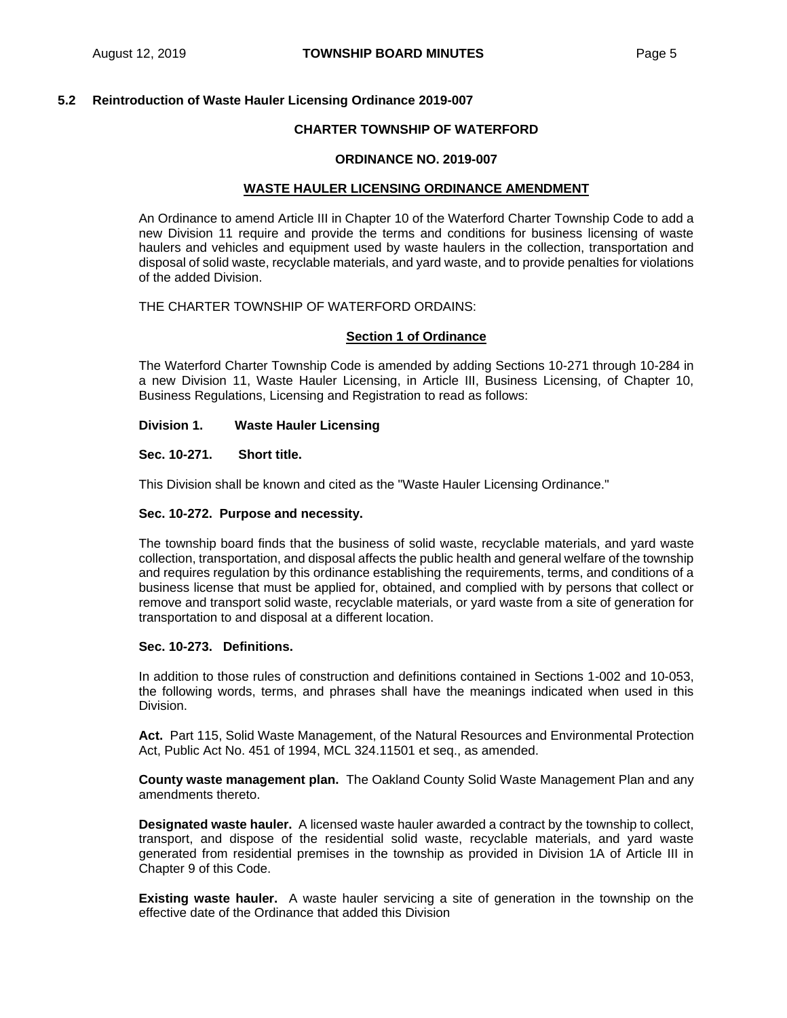#### **5.2 Reintroduction of Waste Hauler Licensing Ordinance 2019-007**

#### **CHARTER TOWNSHIP OF WATERFORD**

#### **ORDINANCE NO. 2019-007**

#### **WASTE HAULER LICENSING ORDINANCE AMENDMENT**

An Ordinance to amend Article III in Chapter 10 of the Waterford Charter Township Code to add a new Division 11 require and provide the terms and conditions for business licensing of waste haulers and vehicles and equipment used by waste haulers in the collection, transportation and disposal of solid waste, recyclable materials, and yard waste, and to provide penalties for violations of the added Division.

## THE CHARTER TOWNSHIP OF WATERFORD ORDAINS:

#### **Section 1 of Ordinance**

The Waterford Charter Township Code is amended by adding Sections 10-271 through 10-284 in a new Division 11, Waste Hauler Licensing, in Article III, Business Licensing, of Chapter 10, Business Regulations, Licensing and Registration to read as follows:

#### **Division 1. Waste Hauler Licensing**

#### **Sec. 10-271. Short title.**

This Division shall be known and cited as the "Waste Hauler Licensing Ordinance."

#### **Sec. 10-272. Purpose and necessity.**

The township board finds that the business of solid waste, recyclable materials, and yard waste collection, transportation, and disposal affects the public health and general welfare of the township and requires regulation by this ordinance establishing the requirements, terms, and conditions of a business license that must be applied for, obtained, and complied with by persons that collect or remove and transport solid waste, recyclable materials, or yard waste from a site of generation for transportation to and disposal at a different location.

#### **Sec. 10-273. Definitions.**

In addition to those rules of construction and definitions contained in Sections 1-002 and 10-053, the following words, terms, and phrases shall have the meanings indicated when used in this Division.

Act. Part 115, Solid Waste Management, of the Natural Resources and Environmental Protection Act, Public Act No. 451 of 1994, MCL 324.11501 et seq., as amended.

**County waste management plan.** The Oakland County Solid Waste Management Plan and any amendments thereto.

**Designated waste hauler.** A licensed waste hauler awarded a contract by the township to collect, transport, and dispose of the residential solid waste, recyclable materials, and yard waste generated from residential premises in the township as provided in Division 1A of Article III in Chapter 9 of this Code.

**Existing waste hauler.** A waste hauler servicing a site of generation in the township on the effective date of the Ordinance that added this Division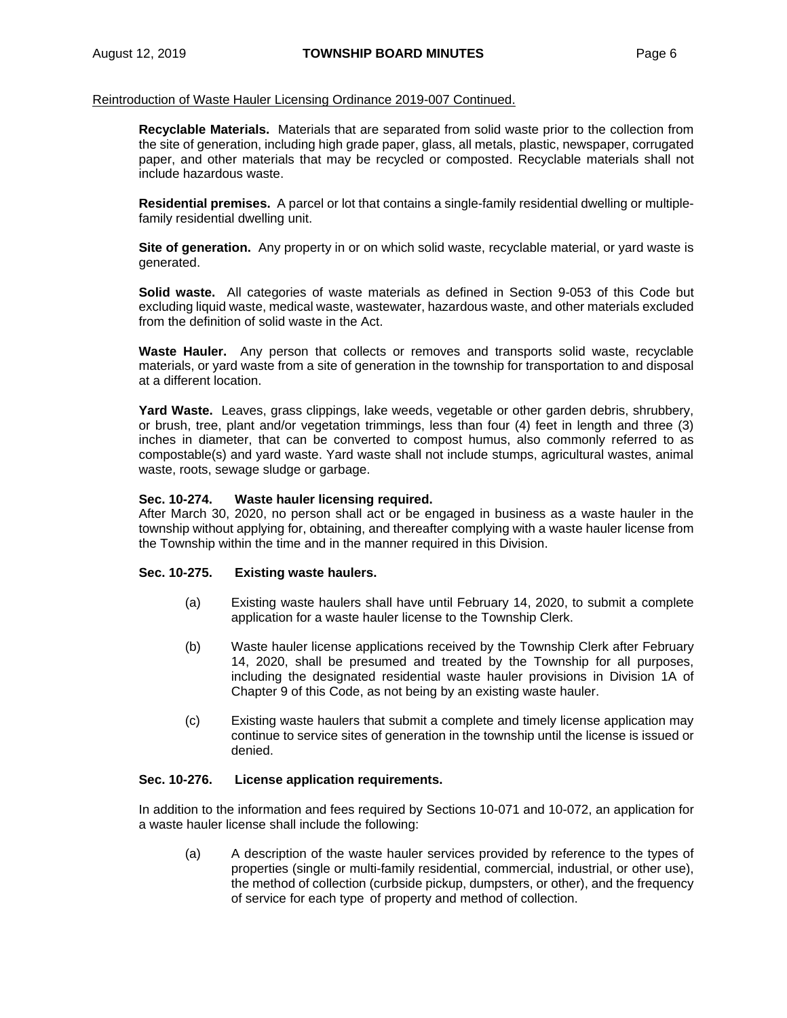**Recyclable Materials.** Materials that are separated from solid waste prior to the collection from the site of generation, including high grade paper, glass, all metals, plastic, newspaper, corrugated paper, and other materials that may be recycled or composted. Recyclable materials shall not include hazardous waste.

**Residential premises.** A parcel or lot that contains a single-family residential dwelling or multiplefamily residential dwelling unit.

**Site of generation.** Any property in or on which solid waste, recyclable material, or yard waste is generated.

**Solid waste.** All categories of waste materials as defined in Section 9-053 of this Code but excluding liquid waste, medical waste, wastewater, hazardous waste, and other materials excluded from the definition of solid waste in the Act.

**Waste Hauler.** Any person that collects or removes and transports solid waste, recyclable materials, or yard waste from a site of generation in the township for transportation to and disposal at a different location.

**Yard Waste.** Leaves, grass clippings, lake weeds, vegetable or other garden debris, shrubbery, or brush, tree, plant and/or vegetation trimmings, less than four (4) feet in length and three (3) inches in diameter, that can be converted to compost humus, also commonly referred to as compostable(s) and yard waste. Yard waste shall not include stumps, agricultural wastes, animal waste, roots, sewage sludge or garbage.

#### **Sec. 10-274. Waste hauler licensing required.**

After March 30, 2020, no person shall act or be engaged in business as a waste hauler in the township without applying for, obtaining, and thereafter complying with a waste hauler license from the Township within the time and in the manner required in this Division.

#### **Sec. 10-275. Existing waste haulers.**

- (a) Existing waste haulers shall have until February 14, 2020, to submit a complete application for a waste hauler license to the Township Clerk.
- (b) Waste hauler license applications received by the Township Clerk after February 14, 2020, shall be presumed and treated by the Township for all purposes, including the designated residential waste hauler provisions in Division 1A of Chapter 9 of this Code, as not being by an existing waste hauler.
- (c) Existing waste haulers that submit a complete and timely license application may continue to service sites of generation in the township until the license is issued or denied.

#### **Sec. 10-276. License application requirements.**

In addition to the information and fees required by Sections 10-071 and 10-072, an application for a waste hauler license shall include the following:

(a) A description of the waste hauler services provided by reference to the types of properties (single or multi-family residential, commercial, industrial, or other use), the method of collection (curbside pickup, dumpsters, or other), and the frequency of service for each type of property and method of collection.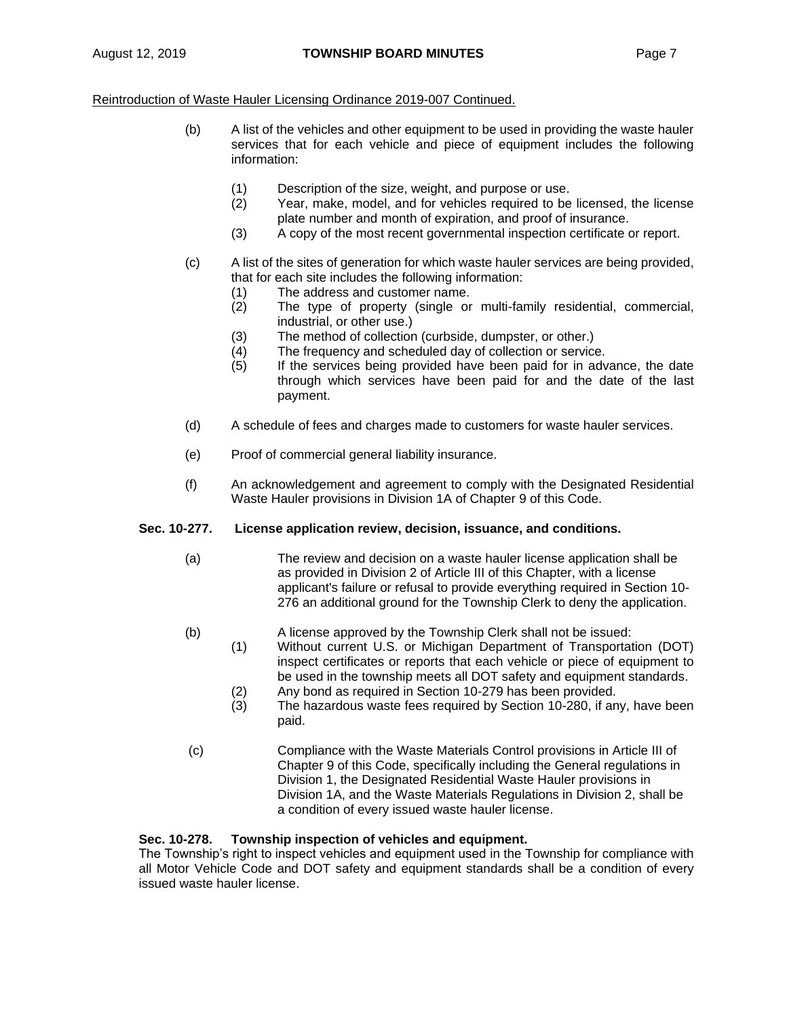- (b) A list of the vehicles and other equipment to be used in providing the waste hauler services that for each vehicle and piece of equipment includes the following information:
	- (1) Description of the size, weight, and purpose or use.
	- (2) Year, make, model, and for vehicles required to be licensed, the license plate number and month of expiration, and proof of insurance.
	- (3) A copy of the most recent governmental inspection certificate or report.
- (c) A list of the sites of generation for which waste hauler services are being provided, that for each site includes the following information:
	- (1) The address and customer name.
	- (2) The type of property (single or multi-family residential, commercial, industrial, or other use.)
	- (3) The method of collection (curbside, dumpster, or other.)
	- (4) The frequency and scheduled day of collection or service.
	- (5) If the services being provided have been paid for in advance, the date through which services have been paid for and the date of the last payment.
- (d) A schedule of fees and charges made to customers for waste hauler services.
- (e) Proof of commercial general liability insurance.
- (f) An acknowledgement and agreement to comply with the Designated Residential Waste Hauler provisions in Division 1A of Chapter 9 of this Code.

# **Sec. 10-277. License application review, decision, issuance, and conditions.**

- (a) The review and decision on a waste hauler license application shall be as provided in Division 2 of Article III of this Chapter, with a license applicant's failure or refusal to provide everything required in Section 10- 276 an additional ground for the Township Clerk to deny the application.
- (b) A license approved by the Township Clerk shall not be issued:
	- (1) Without current U.S. or Michigan Department of Transportation (DOT) inspect certificates or reports that each vehicle or piece of equipment to be used in the township meets all DOT safety and equipment standards.
		- (2) Any bond as required in Section 10-279 has been provided. (3) The hazardous waste fees required by Section 10-280, if any, have been
		- paid.
- (c) Compliance with the Waste Materials Control provisions in Article III of Chapter 9 of this Code, specifically including the General regulations in Division 1, the Designated Residential Waste Hauler provisions in Division 1A, and the Waste Materials Regulations in Division 2, shall be a condition of every issued waste hauler license.

# **Sec. 10-278. Township inspection of vehicles and equipment.**

The Township's right to inspect vehicles and equipment used in the Township for compliance with all Motor Vehicle Code and DOT safety and equipment standards shall be a condition of every issued waste hauler license.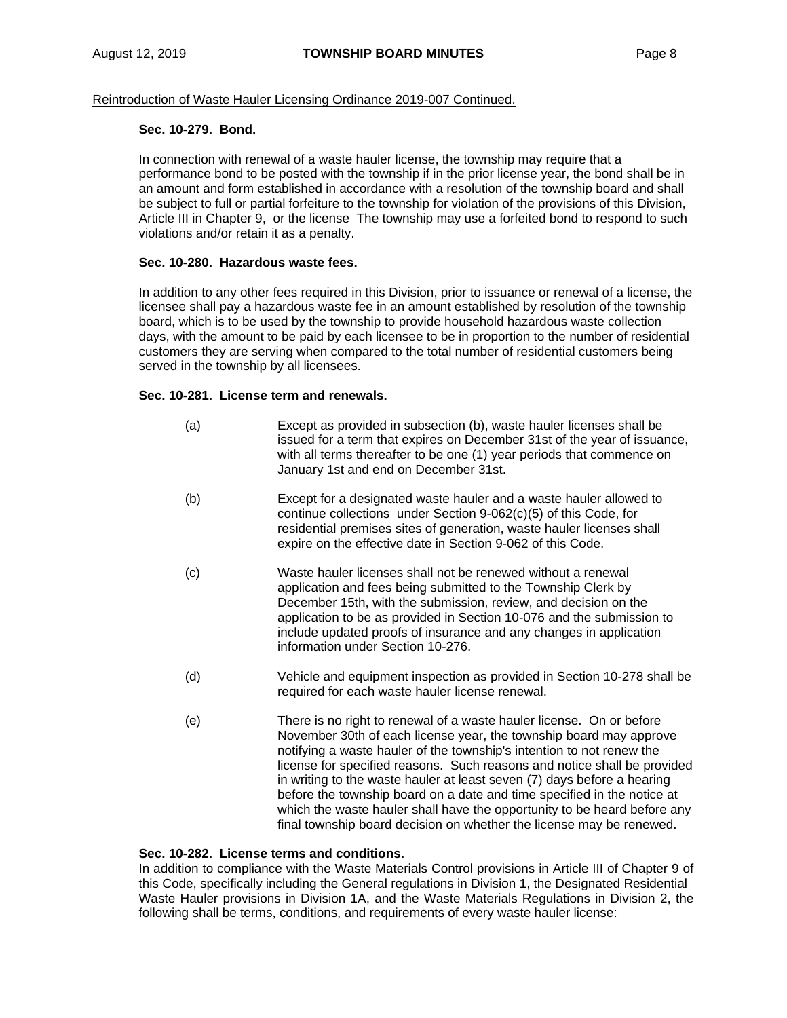#### **Sec. 10-279. Bond.**

In connection with renewal of a waste hauler license, the township may require that a performance bond to be posted with the township if in the prior license year, the bond shall be in an amount and form established in accordance with a resolution of the township board and shall be subject to full or partial forfeiture to the township for violation of the provisions of this Division, Article III in Chapter 9, or the license The township may use a forfeited bond to respond to such violations and/or retain it as a penalty.

# **Sec. 10-280. Hazardous waste fees.**

In addition to any other fees required in this Division, prior to issuance or renewal of a license, the licensee shall pay a hazardous waste fee in an amount established by resolution of the township board, which is to be used by the township to provide household hazardous waste collection days, with the amount to be paid by each licensee to be in proportion to the number of residential customers they are serving when compared to the total number of residential customers being served in the township by all licensees.

# **Sec. 10-281. License term and renewals.**

- (a) Except as provided in subsection (b), waste hauler licenses shall be issued for a term that expires on December 31st of the year of issuance, with all terms thereafter to be one (1) year periods that commence on January 1st and end on December 31st.
- (b) Except for a designated waste hauler and a waste hauler allowed to continue collections under Section 9-062(c)(5) of this Code, for residential premises sites of generation, waste hauler licenses shall expire on the effective date in Section 9-062 of this Code.
- (c) Waste hauler licenses shall not be renewed without a renewal application and fees being submitted to the Township Clerk by December 15th, with the submission, review, and decision on the application to be as provided in Section 10-076 and the submission to include updated proofs of insurance and any changes in application information under Section 10-276.
- (d) Vehicle and equipment inspection as provided in Section 10-278 shall be required for each waste hauler license renewal.
- (e) There is no right to renewal of a waste hauler license. On or before November 30th of each license year, the township board may approve notifying a waste hauler of the township's intention to not renew the license for specified reasons. Such reasons and notice shall be provided in writing to the waste hauler at least seven (7) days before a hearing before the township board on a date and time specified in the notice at which the waste hauler shall have the opportunity to be heard before any final township board decision on whether the license may be renewed.

#### **Sec. 10-282. License terms and conditions.**

In addition to compliance with the Waste Materials Control provisions in Article III of Chapter 9 of this Code, specifically including the General regulations in Division 1, the Designated Residential Waste Hauler provisions in Division 1A, and the Waste Materials Regulations in Division 2, the following shall be terms, conditions, and requirements of every waste hauler license: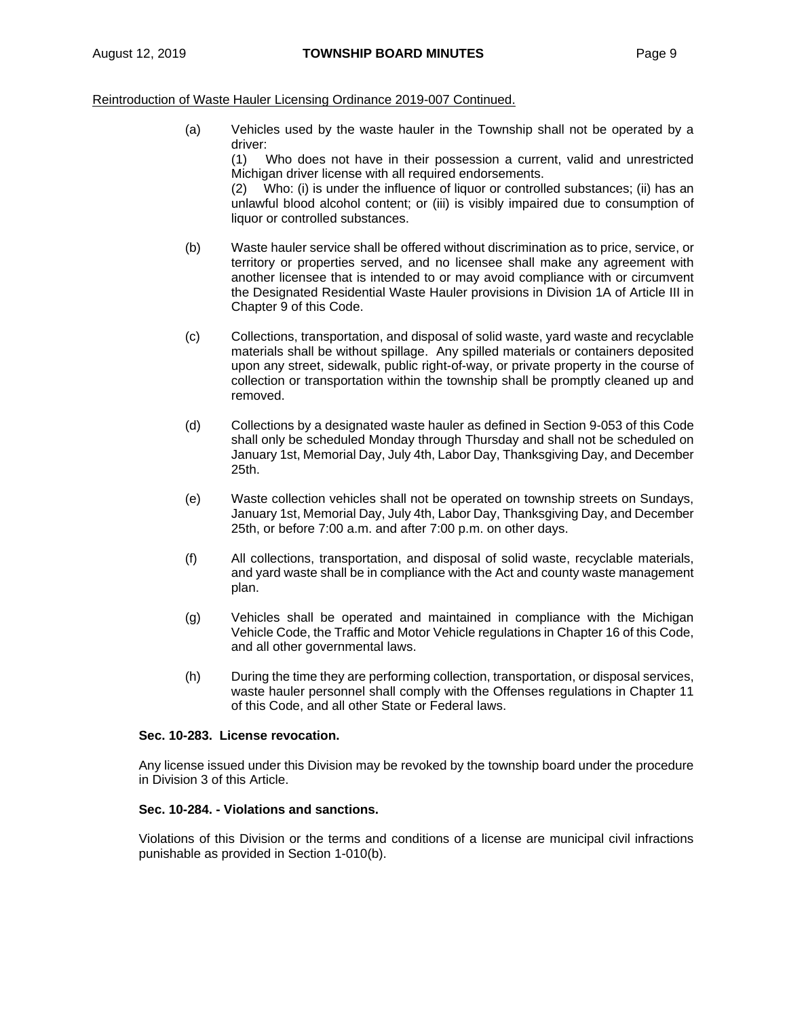(a) Vehicles used by the waste hauler in the Township shall not be operated by a driver:

(1) Who does not have in their possession a current, valid and unrestricted Michigan driver license with all required endorsements.

(2) Who: (i) is under the influence of liquor or controlled substances; (ii) has an unlawful blood alcohol content; or (iii) is visibly impaired due to consumption of liquor or controlled substances.

- (b) Waste hauler service shall be offered without discrimination as to price, service, or territory or properties served, and no licensee shall make any agreement with another licensee that is intended to or may avoid compliance with or circumvent the Designated Residential Waste Hauler provisions in Division 1A of Article III in Chapter 9 of this Code.
- (c) Collections, transportation, and disposal of solid waste, yard waste and recyclable materials shall be without spillage. Any spilled materials or containers deposited upon any street, sidewalk, public right-of-way, or private property in the course of collection or transportation within the township shall be promptly cleaned up and removed.
- (d) Collections by a designated waste hauler as defined in Section 9-053 of this Code shall only be scheduled Monday through Thursday and shall not be scheduled on January 1st, Memorial Day, July 4th, Labor Day, Thanksgiving Day, and December 25th.
- (e) Waste collection vehicles shall not be operated on township streets on Sundays, January 1st, Memorial Day, July 4th, Labor Day, Thanksgiving Day, and December 25th, or before 7:00 a.m. and after 7:00 p.m. on other days.
- (f) All collections, transportation, and disposal of solid waste, recyclable materials, and yard waste shall be in compliance with the Act and county waste management plan.
- (g) Vehicles shall be operated and maintained in compliance with the Michigan Vehicle Code, the Traffic and Motor Vehicle regulations in Chapter 16 of this Code, and all other governmental laws.
- (h) During the time they are performing collection, transportation, or disposal services, waste hauler personnel shall comply with the Offenses regulations in Chapter 11 of this Code, and all other State or Federal laws.

#### **Sec. 10-283. License revocation.**

Any license issued under this Division may be revoked by the township board under the procedure in Division 3 of this Article.

#### **Sec. 10-284. - Violations and sanctions.**

Violations of this Division or the terms and conditions of a license are municipal civil infractions punishable as provided in Section 1-010(b).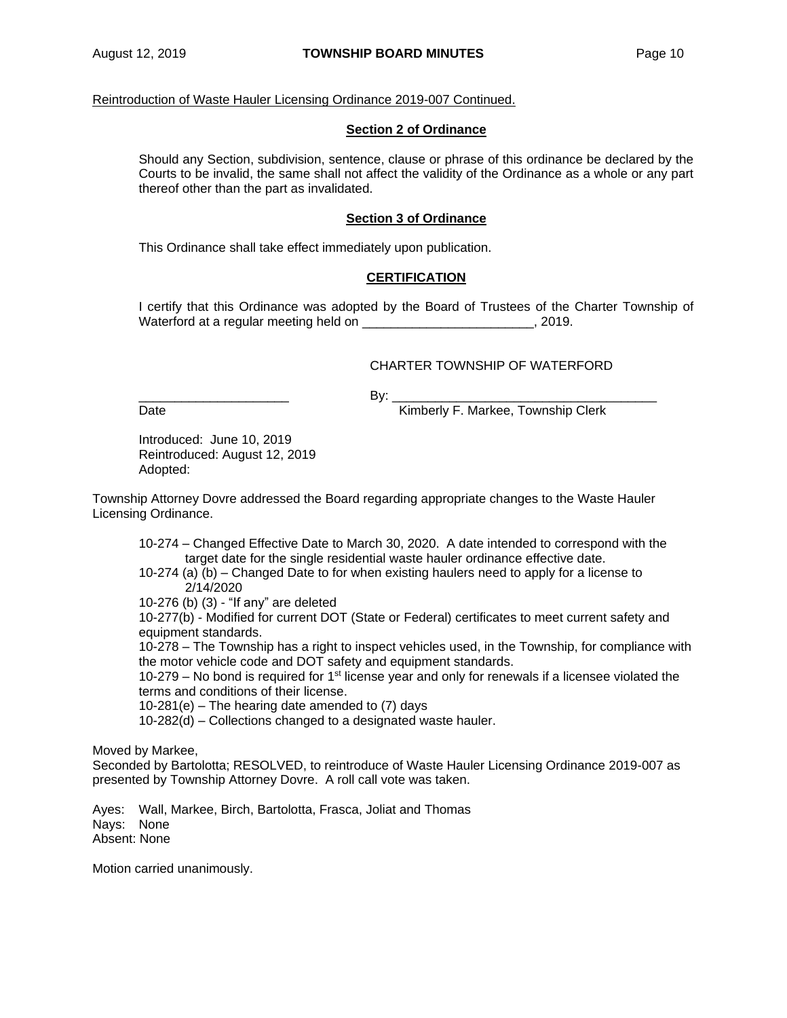#### **Section 2 of Ordinance**

Should any Section, subdivision, sentence, clause or phrase of this ordinance be declared by the Courts to be invalid, the same shall not affect the validity of the Ordinance as a whole or any part thereof other than the part as invalidated.

#### **Section 3 of Ordinance**

This Ordinance shall take effect immediately upon publication.

# **CERTIFICATION**

I certify that this Ordinance was adopted by the Board of Trustees of the Charter Township of Waterford at a regular meeting held on example of the state of the state of the state of the state of the state of the state of the state of the state of the state of the state of the state of the state of the state of the

# CHARTER TOWNSHIP OF WATERFORD

\_\_\_\_\_\_\_\_\_\_\_\_\_\_\_\_\_\_\_\_\_ By: \_\_\_\_\_\_\_\_\_\_\_\_\_\_\_\_\_\_\_\_\_\_\_\_\_\_\_\_\_\_\_\_\_\_\_\_\_

Date **Date Example 2 Contract Contract Contract Contract Contract Contract Contract Contract Contract Contract Contract Contract Contract Contract Contract Contract Contract Contract Contract Contract Contract Contract** 

Introduced: June 10, 2019 Reintroduced: August 12, 2019 Adopted:

Township Attorney Dovre addressed the Board regarding appropriate changes to the Waste Hauler Licensing Ordinance.

10-274 – Changed Effective Date to March 30, 2020. A date intended to correspond with the target date for the single residential waste hauler ordinance effective date.

10-274 (a) (b) – Changed Date to for when existing haulers need to apply for a license to 2/14/2020

10-276 (b) (3) - "If any" are deleted

10-277(b) - Modified for current DOT (State or Federal) certificates to meet current safety and equipment standards.

10-278 – The Township has a right to inspect vehicles used, in the Township, for compliance with the motor vehicle code and DOT safety and equipment standards.

10-279 – No bond is required for  $1<sup>st</sup>$  license year and only for renewals if a licensee violated the terms and conditions of their license.

10-281(e) – The hearing date amended to (7) days

10-282(d) – Collections changed to a designated waste hauler.

Moved by Markee,

Seconded by Bartolotta; RESOLVED, to reintroduce of Waste Hauler Licensing Ordinance 2019-007 as presented by Township Attorney Dovre. A roll call vote was taken.

Ayes: Wall, Markee, Birch, Bartolotta, Frasca, Joliat and Thomas Nays: None Absent: None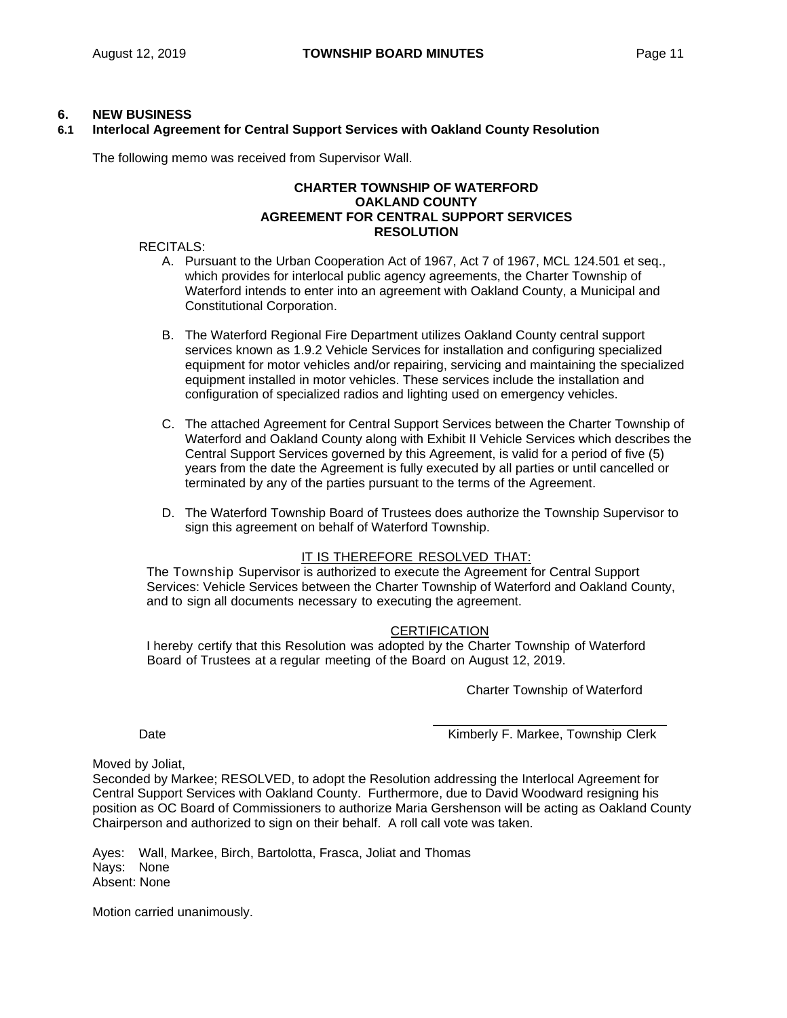## **6. NEW BUSINESS**

# **6.1 Interlocal Agreement for Central Support Services with Oakland County Resolution**

The following memo was received from Supervisor Wall.

#### **CHARTER TOWNSHIP OF WATERFORD OAKLAND COUNTY AGREEMENT FOR CENTRAL SUPPORT SERVICES RESOLUTION**

#### RECITALS:

- A. Pursuant to the Urban Cooperation Act of 1967, Act 7 of 1967, MCL 124.501 et seq., which provides for interlocal public agency agreements, the Charter Township of Waterford intends to enter into an agreement with Oakland County, a Municipal and Constitutional Corporation.
- B. The Waterford Regional Fire Department utilizes Oakland County central support services known as 1.9.2 Vehicle Services for installation and configuring specialized equipment for motor vehicles and/or repairing, servicing and maintaining the specialized equipment installed in motor vehicles. These services include the installation and configuration of specialized radios and lighting used on emergency vehicles.
- C. The attached Agreement for Central Support Services between the Charter Township of Waterford and Oakland County along with Exhibit II Vehicle Services which describes the Central Support Services governed by this Agreement, is valid for a period of five (5) years from the date the Agreement is fully executed by all parties or until cancelled or terminated by any of the parties pursuant to the terms of the Agreement.
- D. The Waterford Township Board of Trustees does authorize the Township Supervisor to sign this agreement on behalf of Waterford Township.

# IT IS THEREFORE RESOLVED THAT:

The Township Supervisor is authorized to execute the Agreement for Central Support Services: Vehicle Services between the Charter Township of Waterford and Oakland County, and to sign all documents necessary to executing the agreement.

#### **CERTIFICATION**

I hereby certify that this Resolution was adopted by the Charter Township of Waterford Board of Trustees at a regular meeting of the Board on August 12, 2019.

Charter Township of Waterford

Date **Contract Contract Contract Contract Contract Contract Contract Contract Contract Contract Contract Contract Contract Contract Contract Contract Contract Contract Contract Contract Contract Contract Contract Contract** 

Moved by Joliat,

Seconded by Markee; RESOLVED, to adopt the Resolution addressing the Interlocal Agreement for Central Support Services with Oakland County. Furthermore, due to David Woodward resigning his position as OC Board of Commissioners to authorize Maria Gershenson will be acting as Oakland County Chairperson and authorized to sign on their behalf. A roll call vote was taken.

Ayes: Wall, Markee, Birch, Bartolotta, Frasca, Joliat and Thomas Nays: None Absent: None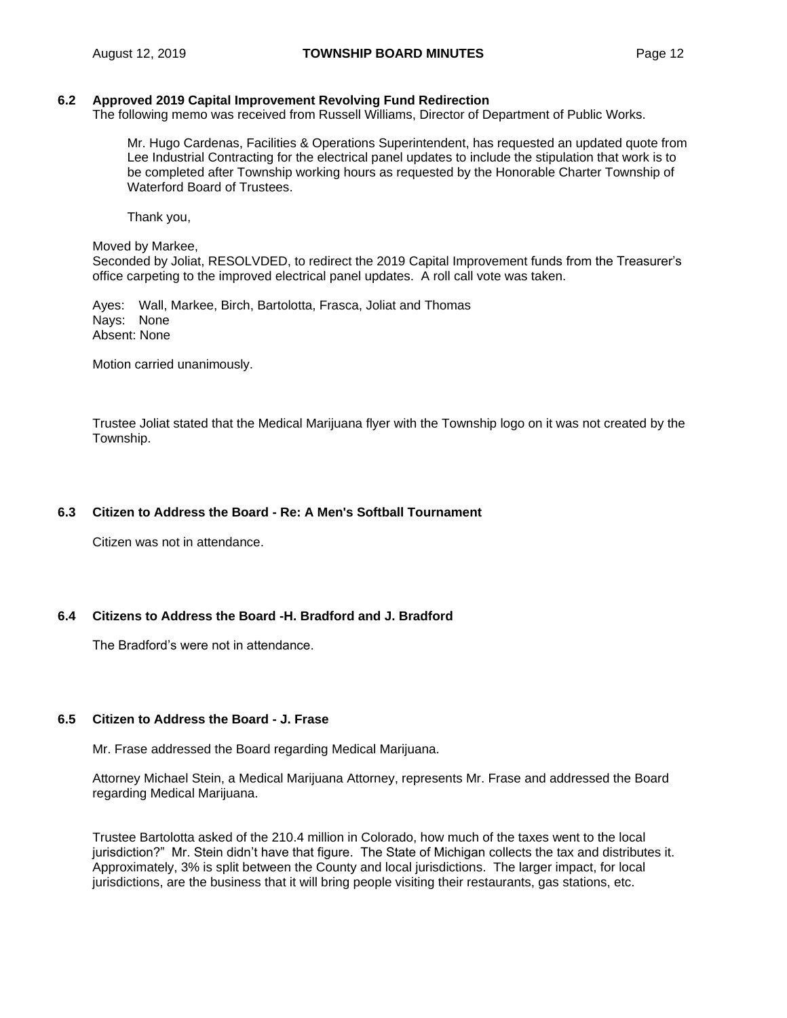#### **6.2 Approved 2019 Capital Improvement Revolving Fund Redirection**

The following memo was received from Russell Williams, Director of Department of Public Works.

Mr. Hugo Cardenas, Facilities & Operations Superintendent, has requested an updated quote from Lee Industrial Contracting for the electrical panel updates to include the stipulation that work is to be completed after Township working hours as requested by the Honorable Charter Township of Waterford Board of Trustees.

Thank you,

Moved by Markee,

Seconded by Joliat, RESOLVDED, to redirect the 2019 Capital Improvement funds from the Treasurer's office carpeting to the improved electrical panel updates. A roll call vote was taken.

Ayes: Wall, Markee, Birch, Bartolotta, Frasca, Joliat and Thomas Nays: None Absent: None

Motion carried unanimously.

Trustee Joliat stated that the Medical Marijuana flyer with the Township logo on it was not created by the Township.

#### **6.3 Citizen to Address the Board - Re: A Men's Softball Tournament**

Citizen was not in attendance.

#### **6.4 Citizens to Address the Board -H. Bradford and J. Bradford**

The Bradford's were not in attendance.

#### **6.5 Citizen to Address the Board - J. Frase**

Mr. Frase addressed the Board regarding Medical Marijuana.

Attorney Michael Stein, a Medical Marijuana Attorney, represents Mr. Frase and addressed the Board regarding Medical Marijuana.

Trustee Bartolotta asked of the 210.4 million in Colorado, how much of the taxes went to the local jurisdiction?" Mr. Stein didn't have that figure. The State of Michigan collects the tax and distributes it. Approximately, 3% is split between the County and local jurisdictions. The larger impact, for local jurisdictions, are the business that it will bring people visiting their restaurants, gas stations, etc.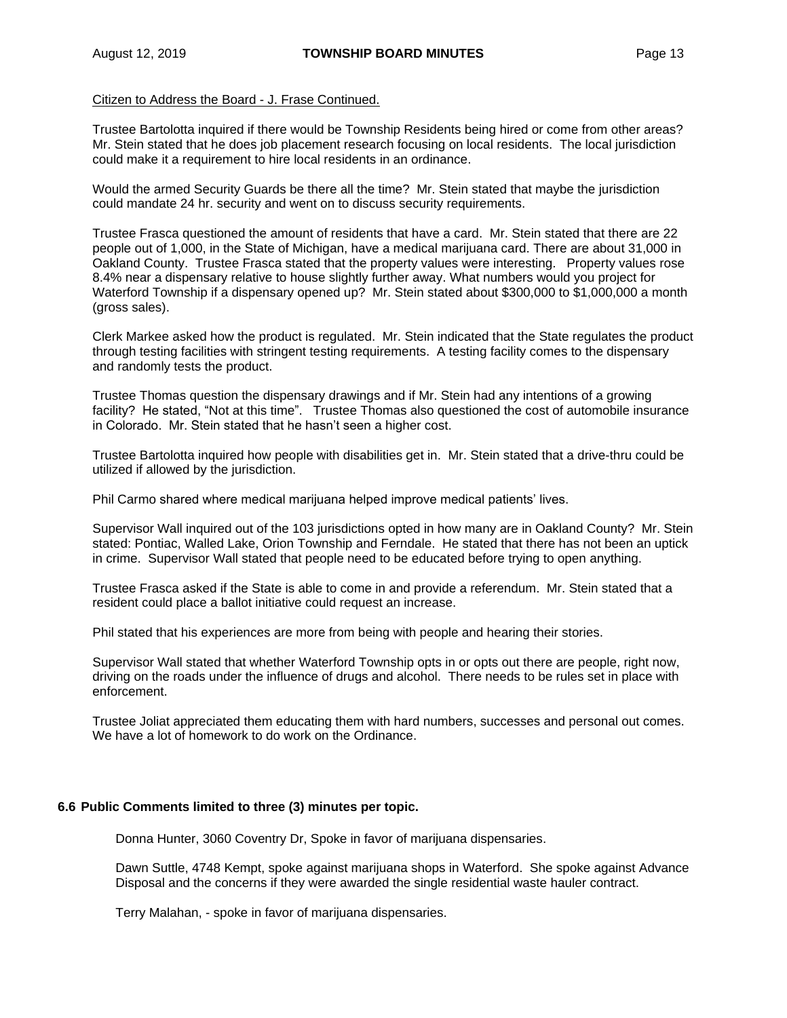# Citizen to Address the Board - J. Frase Continued.

Trustee Bartolotta inquired if there would be Township Residents being hired or come from other areas? Mr. Stein stated that he does job placement research focusing on local residents. The local jurisdiction could make it a requirement to hire local residents in an ordinance.

Would the armed Security Guards be there all the time? Mr. Stein stated that maybe the jurisdiction could mandate 24 hr. security and went on to discuss security requirements.

Trustee Frasca questioned the amount of residents that have a card. Mr. Stein stated that there are 22 people out of 1,000, in the State of Michigan, have a medical marijuana card. There are about 31,000 in Oakland County. Trustee Frasca stated that the property values were interesting. Property values rose 8.4% near a dispensary relative to house slightly further away. What numbers would you project for Waterford Township if a dispensary opened up? Mr. Stein stated about \$300,000 to \$1,000,000 a month (gross sales).

Clerk Markee asked how the product is regulated. Mr. Stein indicated that the State regulates the product through testing facilities with stringent testing requirements. A testing facility comes to the dispensary and randomly tests the product.

Trustee Thomas question the dispensary drawings and if Mr. Stein had any intentions of a growing facility? He stated, "Not at this time". Trustee Thomas also questioned the cost of automobile insurance in Colorado. Mr. Stein stated that he hasn't seen a higher cost.

Trustee Bartolotta inquired how people with disabilities get in. Mr. Stein stated that a drive-thru could be utilized if allowed by the jurisdiction.

Phil Carmo shared where medical marijuana helped improve medical patients' lives.

Supervisor Wall inquired out of the 103 jurisdictions opted in how many are in Oakland County? Mr. Stein stated: Pontiac, Walled Lake, Orion Township and Ferndale. He stated that there has not been an uptick in crime. Supervisor Wall stated that people need to be educated before trying to open anything.

Trustee Frasca asked if the State is able to come in and provide a referendum. Mr. Stein stated that a resident could place a ballot initiative could request an increase.

Phil stated that his experiences are more from being with people and hearing their stories.

Supervisor Wall stated that whether Waterford Township opts in or opts out there are people, right now, driving on the roads under the influence of drugs and alcohol. There needs to be rules set in place with enforcement.

Trustee Joliat appreciated them educating them with hard numbers, successes and personal out comes. We have a lot of homework to do work on the Ordinance.

#### **6.6 Public Comments limited to three (3) minutes per topic.**

Donna Hunter, 3060 Coventry Dr, Spoke in favor of marijuana dispensaries.

Dawn Suttle, 4748 Kempt, spoke against marijuana shops in Waterford. She spoke against Advance Disposal and the concerns if they were awarded the single residential waste hauler contract.

Terry Malahan, - spoke in favor of marijuana dispensaries.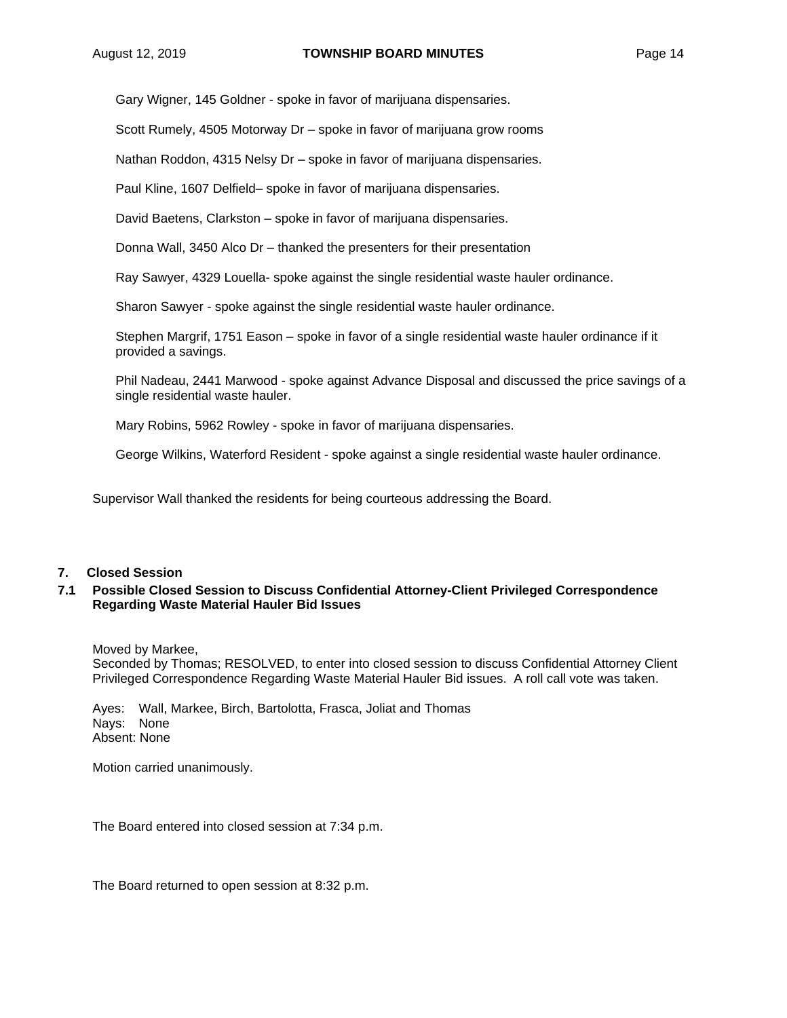Gary Wigner, 145 Goldner - spoke in favor of marijuana dispensaries.

Scott Rumely, 4505 Motorway Dr – spoke in favor of marijuana grow rooms

Nathan Roddon, 4315 Nelsy Dr – spoke in favor of marijuana dispensaries.

Paul Kline, 1607 Delfield– spoke in favor of marijuana dispensaries.

David Baetens, Clarkston – spoke in favor of marijuana dispensaries.

Donna Wall, 3450 Alco Dr – thanked the presenters for their presentation

Ray Sawyer, 4329 Louella- spoke against the single residential waste hauler ordinance.

Sharon Sawyer - spoke against the single residential waste hauler ordinance.

Stephen Margrif, 1751 Eason – spoke in favor of a single residential waste hauler ordinance if it provided a savings.

Phil Nadeau, 2441 Marwood - spoke against Advance Disposal and discussed the price savings of a single residential waste hauler.

Mary Robins, 5962 Rowley - spoke in favor of marijuana dispensaries.

George Wilkins, Waterford Resident - spoke against a single residential waste hauler ordinance.

Supervisor Wall thanked the residents for being courteous addressing the Board.

#### **7. Closed Session**

#### **7.1 Possible Closed Session to Discuss Confidential Attorney-Client Privileged Correspondence Regarding Waste Material Hauler Bid Issues**

Moved by Markee,

Seconded by Thomas; RESOLVED, to enter into closed session to discuss Confidential Attorney Client Privileged Correspondence Regarding Waste Material Hauler Bid issues. A roll call vote was taken.

Ayes: Wall, Markee, Birch, Bartolotta, Frasca, Joliat and Thomas Nays: None Absent: None

Motion carried unanimously.

The Board entered into closed session at 7:34 p.m.

The Board returned to open session at 8:32 p.m.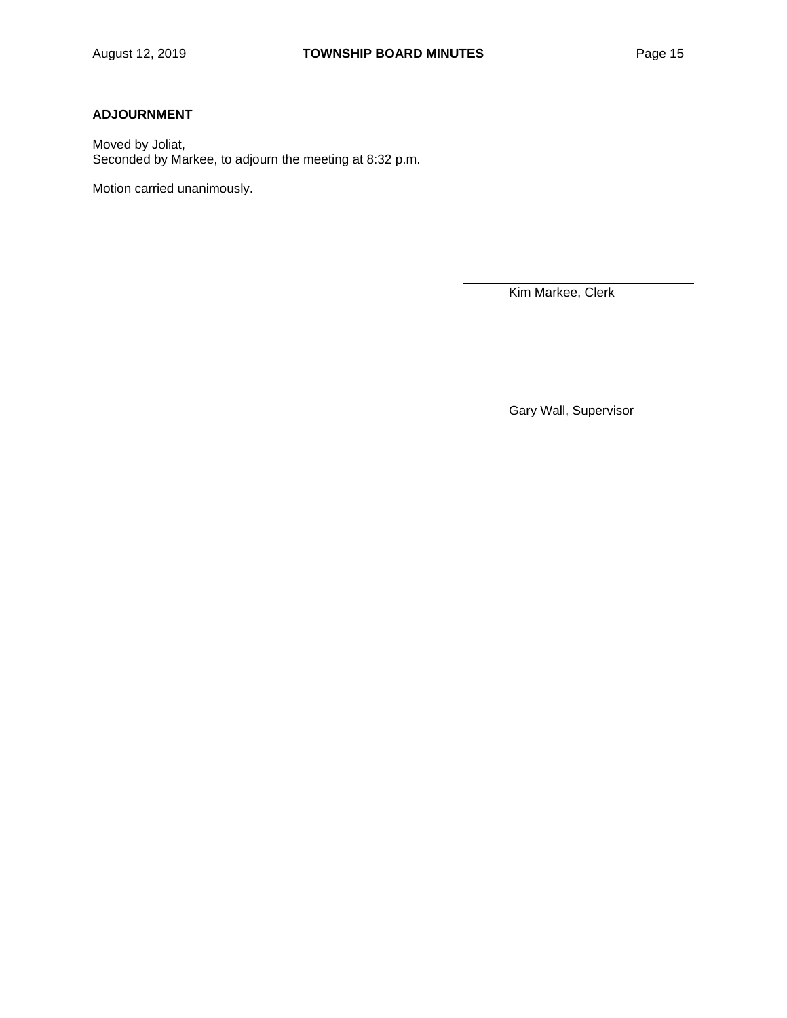# **ADJOURNMENT**

Moved by Joliat, Seconded by Markee, to adjourn the meeting at 8:32 p.m.

Motion carried unanimously.

Kim Markee, Clerk

Gary Wall, Supervisor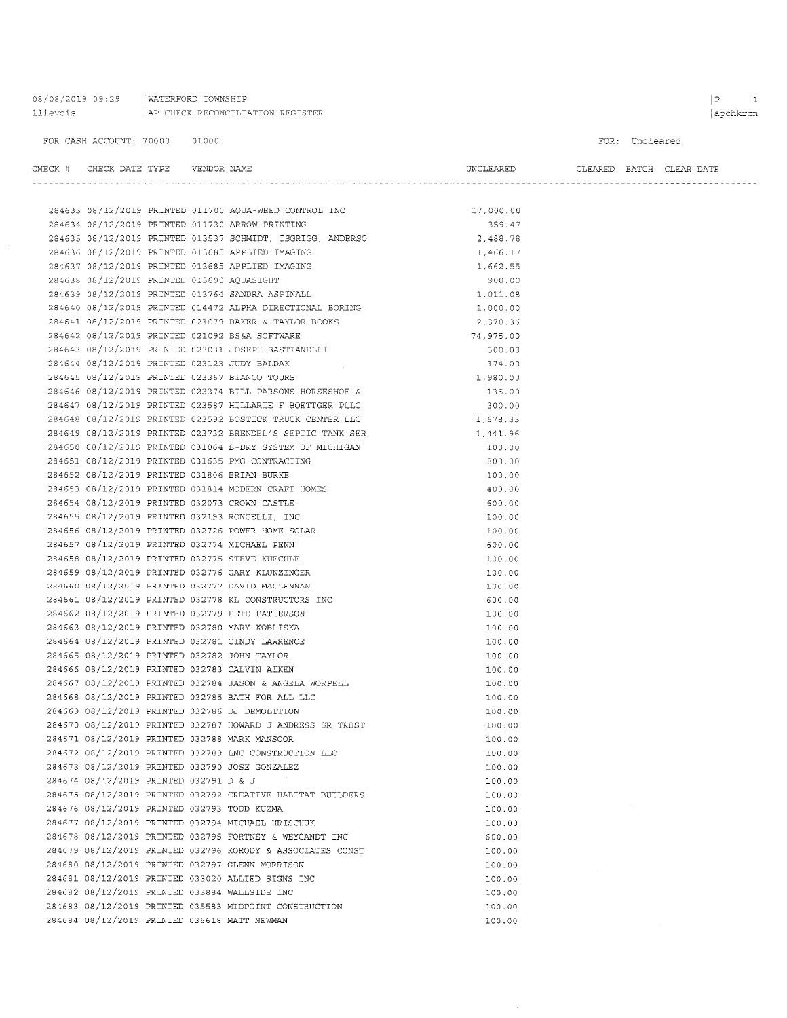08/08/2019 09:29 | WATERFORD TOWNSHIP llievois | AP CHECK RECONCILIATION REGISTER

284681 08/12/2019 PRINTED 033020 ALLIED SIGNS INC

284683 08/12/2019 PRINTED 035583 MIDPOINT CONSTRUCTION

284682 08/12/2019 PRINTED 033884 WALLSIDE INC

284684 08/12/2019 PRINTED 036618 MATT NEWMAN

#### FOR CASH ACCOUNT: 70000 01000

FOR: Uncleared

| CHECK # CHECK DATE TYPE VENDOR NAME         |  |                                                                                                                                                                                       | UNCLEARED        |  | CLEARED BATCH CLEAR DATE |
|---------------------------------------------|--|---------------------------------------------------------------------------------------------------------------------------------------------------------------------------------------|------------------|--|--------------------------|
|                                             |  |                                                                                                                                                                                       |                  |  |                          |
|                                             |  |                                                                                                                                                                                       | 17,000.00        |  |                          |
|                                             |  | 284633 08/12/2019 PRINTED 011700 AQUA-WEED CONTROL INC<br>284634 08/12/2019 PRINTED 011730 ARROW PRINTING<br>284634 08/12/2019 PRINTED 011730 ARROW PRINTING                          | 359.47           |  |                          |
|                                             |  | 284635 08/12/2019 PRINTED 013537 SCHMIDT, ISGRIGG, ANDERSO                                                                                                                            | 2,488.78         |  |                          |
|                                             |  | 284636 08/12/2019 PRINTED 013685 APPLIED IMAGING                                                                                                                                      | 1,466.17         |  |                          |
|                                             |  | 284637 08/12/2019 PRINTED 013685 APPLIED IMAGING                                                                                                                                      | 1,662.55         |  |                          |
| 284638 08/12/2019 PRINTED 013690 AQUASIGHT  |  |                                                                                                                                                                                       | 900.00           |  |                          |
|                                             |  | 284639 08/12/2019 PRINTED 013764 SANDRA ASPINALL                                                                                                                                      | 1,011.08         |  |                          |
|                                             |  | 284640 08/12/2019 PRINTED 014472 ALPHA DIRECTIONAL BORING                                                                                                                             | 1,000.00         |  |                          |
|                                             |  | 284641 08/12/2019 PRINTED 021079 BAKER & TAYLOR BOOKS                                                                                                                                 | 2,370.36         |  |                          |
|                                             |  | 284642 08/12/2019 PRINTED 021092 BS&A SOFTWARE                                                                                                                                        | 74,975.00        |  |                          |
|                                             |  | 284643 08/12/2019 PRINTED 023031 JOSEPH BASTIANELLI                                                                                                                                   | 300.00           |  |                          |
|                                             |  |                                                                                                                                                                                       | 174.00           |  |                          |
|                                             |  | 284644 08/12/2019 PRINTED 023123 JUDY BALDAK<br>284645 08/12/2019 PRINTED 023367 BIANCO TOURS                                                                                         | 1,980.00         |  |                          |
|                                             |  | 284646 08/12/2019 PRINTED 023374 BILL PARSONS HORSESHOE &                                                                                                                             | 135.00           |  |                          |
|                                             |  | 284647 08/12/2019 PRINTED 023587 HILLARIE F BOETTGER PLLC                                                                                                                             | 300.00           |  |                          |
|                                             |  | 284648 08/12/2019 PRINTED 023592 BOSTICK TRUCK CENTER LLC                                                                                                                             | 1,678.33         |  |                          |
|                                             |  |                                                                                                                                                                                       | 1,441.96         |  |                          |
|                                             |  | 284648 08/12/2019 PRINTED 023732 BRENDEL'S SEPTIC TANK SER<br>284649 08/12/2019 PRINTED 023732 BRENDEL'S SEPTIC TANK SER<br>284650 08/12/2019 PRINTED 031064 B-DRY SYSTEM OF MICHIGAN | 100.00           |  |                          |
|                                             |  | 284651 08/12/2019 PRINTED 031635 PMG CONTRACTING                                                                                                                                      | 800.00           |  |                          |
|                                             |  | 284652 08/12/2019 PRINTED 031806 BRIAN BURKE                                                                                                                                          | 100.00           |  |                          |
|                                             |  | 284653 08/12/2019 PRINTED 031814 MODERN CRAFT HOMES                                                                                                                                   | 400.00           |  |                          |
|                                             |  | 284654 08/12/2019 PRINTED 032073 CROWN CASTLE                                                                                                                                         | 600.00           |  |                          |
|                                             |  | 284655 08/12/2019 PRINTED 032193 RONCELLI, INC                                                                                                                                        | 100.00           |  |                          |
|                                             |  | 284656 08/12/2019 PRINTED 032726 POWER HOME SOLAR                                                                                                                                     | 100.00           |  |                          |
|                                             |  | 284657 08/12/2019 PRINTED 032774 MICHAEL PENN                                                                                                                                         | 600.00           |  |                          |
|                                             |  | 284658 08/12/2019 PRINTED 032775 STEVE KUECHLE                                                                                                                                        | 100.00           |  |                          |
|                                             |  | 284659 08/12/2019 PRINTED 032776 GARY KLUNZINGER                                                                                                                                      | 100.00           |  |                          |
|                                             |  | 284660 08/12/2019 PRINTED 032777 DAVID MACLENNAN                                                                                                                                      | 100.00           |  |                          |
|                                             |  | 284661 08/12/2019 PRINTED 032778 KL CONSTRUCTORS INC                                                                                                                                  | 600.00           |  |                          |
|                                             |  | 284662 08/12/2019 PRINTED 032779 PETE PATTERSON                                                                                                                                       | 100.00           |  |                          |
|                                             |  | 284663 08/12/2019 PRINTED 032780 MARY KOBLISKA                                                                                                                                        | 100.00           |  |                          |
|                                             |  | 284664 08/12/2019 PRINTED 032781 CINDY LAWRENCE                                                                                                                                       | 100.00           |  |                          |
|                                             |  | 284665 08/12/2019 PRINTED 032782 JOHN TAYLOR                                                                                                                                          | 100.00           |  |                          |
|                                             |  | 284666 08/12/2019 PRINTED 032783 CALVIN AIKEN                                                                                                                                         | 100.00           |  |                          |
|                                             |  | 284667 08/12/2019 PRINTED 032784 JASON & ANGELA WORPELL                                                                                                                               | 100.00           |  |                          |
|                                             |  | 284668 08/12/2019 PRINTED 032785 BATH FOR ALL LLC                                                                                                                                     | 100.00           |  |                          |
|                                             |  | 284669 08/12/2019 PRINTED 032786 DJ DEMOLITION                                                                                                                                        | 100.00           |  |                          |
|                                             |  | 284670 08/12/2019 PRINTED 032787 HOWARD J ANDRESS SR TRUST                                                                                                                            | 100.00           |  |                          |
|                                             |  | 284671 08/12/2019 PRINTED 032788 MARK MANSOOR                                                                                                                                         |                  |  |                          |
|                                             |  | 284672 08/12/2019 PRINTED 032789 LNC CONSTRUCTION LLC                                                                                                                                 | 100.00           |  |                          |
|                                             |  | 284673 08/12/2019 PRINTED 032790 JOSE GONZALEZ                                                                                                                                        | 100.00           |  |                          |
| 284674 08/12/2019 PRINTED 032791 D & J      |  |                                                                                                                                                                                       | 100.00           |  |                          |
|                                             |  | 284675 08/12/2019 PRINTED 032792 CREATIVE HABITAT BUILDERS                                                                                                                            | 100.00           |  |                          |
| 284676 08/12/2019 PRINTED 032793 TODD KUZMA |  |                                                                                                                                                                                       | 100.00           |  |                          |
|                                             |  | 284677 08/12/2019 PRINTED 032794 MICHAEL HRISCHUK                                                                                                                                     | 100.00           |  |                          |
|                                             |  | 284678 08/12/2019 PRINTED 032795 FORTNEY & WEYGANDT INC                                                                                                                               | 100.00<br>600.00 |  |                          |
|                                             |  | 284679 08/12/2019 PRINTED 032796 KORODY & ASSOCIATES CONST                                                                                                                            | 100.00           |  |                          |
|                                             |  | 284680 08/12/2019 PRINTED 032797 GLENN MORRISON                                                                                                                                       | 100.00           |  |                          |
|                                             |  |                                                                                                                                                                                       |                  |  |                          |

100.00

 $100.00$ 

100.00

100.00

 $\hat{\boldsymbol{\beta}}$ 

 $\vert$ apchkrcn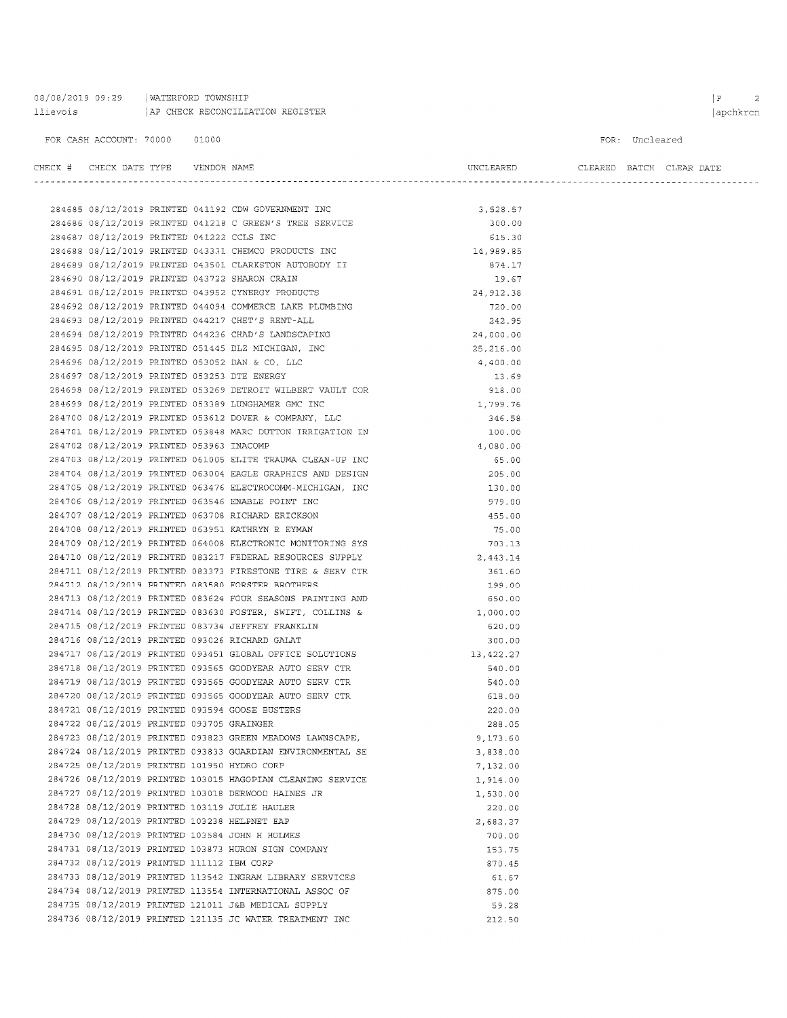08/08/2019 09:29 | WATERFORD TOWNSHIP llievois | AP CHECK RECONCILIATION REGISTER

#### FOR CASH ACCOUNT: 70000 01000

#### FOR: Uncleared

| CHECK   | <b>TVDF</b><br>CHECK DATE<br>----- | <b>NAME</b><br>VENDOR | UNCLEARED | CLEARED | BATCH | DATE<br>BAR- |
|---------|------------------------------------|-----------------------|-----------|---------|-------|--------------|
| ------- |                                    |                       |           |         |       | -----        |

|                                             |  | 284685 08/12/2019 PRINTED 041192 CDW GOVERNMENT INC        | 3,528.57   |
|---------------------------------------------|--|------------------------------------------------------------|------------|
|                                             |  | 284686 08/12/2019 PRINTED 041218 C GREEN'S TREE SERVICE    | 300.00     |
| 284687 08/12/2019 PRINTED 041222 CCLS INC   |  |                                                            | 615.30     |
|                                             |  | 284688 08/12/2019 PRINTED 043331 CHEMCO PRODUCTS INC       | 14,989.85  |
|                                             |  | 284689 08/12/2019 PRINTED 043501 CLARKSTON AUTOBODY II     | 874.17     |
|                                             |  | 284690 08/12/2019 PRINTED 043722 SHARON CRAIN              | 19.67      |
|                                             |  | 284691 08/12/2019 PRINTED 043952 CYNERGY PRODUCTS          | 24, 912.38 |
|                                             |  | 284692 08/12/2019 PRINTED 044094 COMMERCE LAKE PLUMBING    | 720.00     |
|                                             |  | 284693 08/12/2019 PRINTED 044217 CHET'S RENT-ALL           | 242.95     |
|                                             |  | 284694 08/12/2019 PRINTED 044236 CHAD'S LANDSCAPING        | 24,000.00  |
|                                             |  | 284695 08/12/2019 PRINTED 051445 DLZ MICHIGAN, INC         | 25, 216.00 |
|                                             |  | 284696 08/12/2019 PRINTED 053052 DAN & CO, LLC             | 4,400.00   |
| 284697 08/12/2019 PRINTED 053253 DTE ENERGY |  |                                                            | 13.69      |
|                                             |  | 284698 08/12/2019 PRINTED 053269 DETROIT WILBERT VAULT COR | 918.00     |
|                                             |  | 284699 08/12/2019 PRINTED 053389 LUNGHAMER GMC INC         | 1,799.76   |
|                                             |  | 284700 08/12/2019 PRINTED 053612 DOVER & COMPANY, LLC      | 346.58     |
|                                             |  | 284701 08/12/2019 PRINTED 053848 MARC DUTTON IRRIGATION IN | 100.00     |
| 284702 08/12/2019 PRINTED 053963 INACOMP    |  |                                                            | 4,080.00   |
|                                             |  | 284703 08/12/2019 PRINTED 061005 ELITE TRAUMA CLEAN-UP INC | 65.00      |
|                                             |  | 284704 08/12/2019 PRINTED 063004 EAGLE GRAPHICS AND DESIGN | 205.00     |
|                                             |  | 284705 08/12/2019 PRINTED 063476 ELECTROCOMM-MICHIGAN, INC | 130.00     |
|                                             |  | 284706 08/12/2019 PRINTED 063546 ENABLE POINT INC          | 979.00     |
|                                             |  | 284707 08/12/2019 PRINTED 063708 RICHARD ERICKSON          | 455.00     |
|                                             |  | 284708 08/12/2019 PRINTED 063951 KATHRYN R EYMAN           | 75.00      |
|                                             |  | 284709 08/12/2019 PRINTED 064008 ELECTRONIC MONITORING SYS | 703.13     |
|                                             |  | 284710 08/12/2019 PRINTED 083217 FEDERAL RESOURCES SUPPLY  | 2,443.14   |
|                                             |  | 284711 08/12/2019 PRINTED 083373 FIRESTONE TIRE & SERV CTR | 361.60     |
|                                             |  | 284712 08/12/2019 PRINTED 083580 FORSTER BROTHERS          | 199.00     |
|                                             |  | 284713 08/12/2019 PRINTED 083624 FOUR SEASONS PAINTING AND | 650.00     |
|                                             |  | 284714 08/12/2019 PRINTED 083630 FOSTER, SWIFT, COLLINS &  | 1,000.00   |
|                                             |  | 284715 08/12/2019 PRINTED 083734 JEFFREY FRANKLIN          | 620.00     |
|                                             |  | 284716 08/12/2019 PRINTED 093026 RICHARD GALAT             | 300.00     |
|                                             |  | 284717 08/12/2019 PRINTED 093451 GLOBAL OFFICE SOLUTIONS   | 13,422.27  |
|                                             |  | 284718 08/12/2019 PRINTED 093565 GOODYEAR AUTO SERV CTR    | 540.00     |
|                                             |  | 284719 08/12/2019 PRINTED 093565 GOODYEAR AUTO SERV CTR    | 540.00     |
|                                             |  | 284720 08/12/2019 PRINTED 093565 GOODYEAR AUTO SERV CTR    | 618.00     |
|                                             |  | 284721 08/12/2019 PRINTED 093594 GOOSE BUSTERS             | 220.00     |
| 284722 08/12/2019 PRINTED 093705 GRAINGER   |  |                                                            | 288.05     |
|                                             |  | 284723 08/12/2019 PRINTED 093823 GREEN MEADOWS LAWNSCAPE,  | 9,173.60   |
|                                             |  | 284724 08/12/2019 PRINTED 093833 GUARDIAN ENVIRONMENTAL SE | 3,838.00   |
| 284725 08/12/2019 PRINTED 101950 HYDRO CORP |  |                                                            | 7,132.00   |
|                                             |  | 284726 08/12/2019 PRINTED 103015 HAGOPIAN CLEANING SERVICE | 1,914.00   |
|                                             |  | 284727 08/12/2019 PRINTED 103018 DERWOOD HAINES JR         | 1,530.00   |
|                                             |  | 284728 08/12/2019 PRINTED 103119 JULIE HAULER              | 220.00     |
|                                             |  | 284729 08/12/2019 PRINTED 103238 HELPNET EAP               | 2,682.27   |
|                                             |  | 284730 08/12/2019 PRINTED 103584 JOHN H HOLMES             | 700.00     |
|                                             |  | 284731 08/12/2019 PRINTED 103873 HURON SIGN COMPANY        | 153.75     |
| 284732 08/12/2019 PRINTED 111112 IBM CORP   |  |                                                            | 870.45     |
|                                             |  | 284733 08/12/2019 PRINTED 113542 INGRAM LIBRARY SERVICES   | 61.67      |
|                                             |  | 284734 08/12/2019 PRINTED 113554 INTERNATIONAL ASSOC OF    | 875.00     |
|                                             |  | 284735 08/12/2019 PRINTED 121011 J&B MEDICAL SUPPLY        | 59.28      |
|                                             |  | 284736 08/12/2019 PRINTED 121135 JC WATER TREATMENT INC    | 212.50     |
|                                             |  |                                                            |            |

#### $\begin{array}{ccc} \mid & \mathbf{P} & \qquad & \mathbf{2} \end{array}$ apchkrcn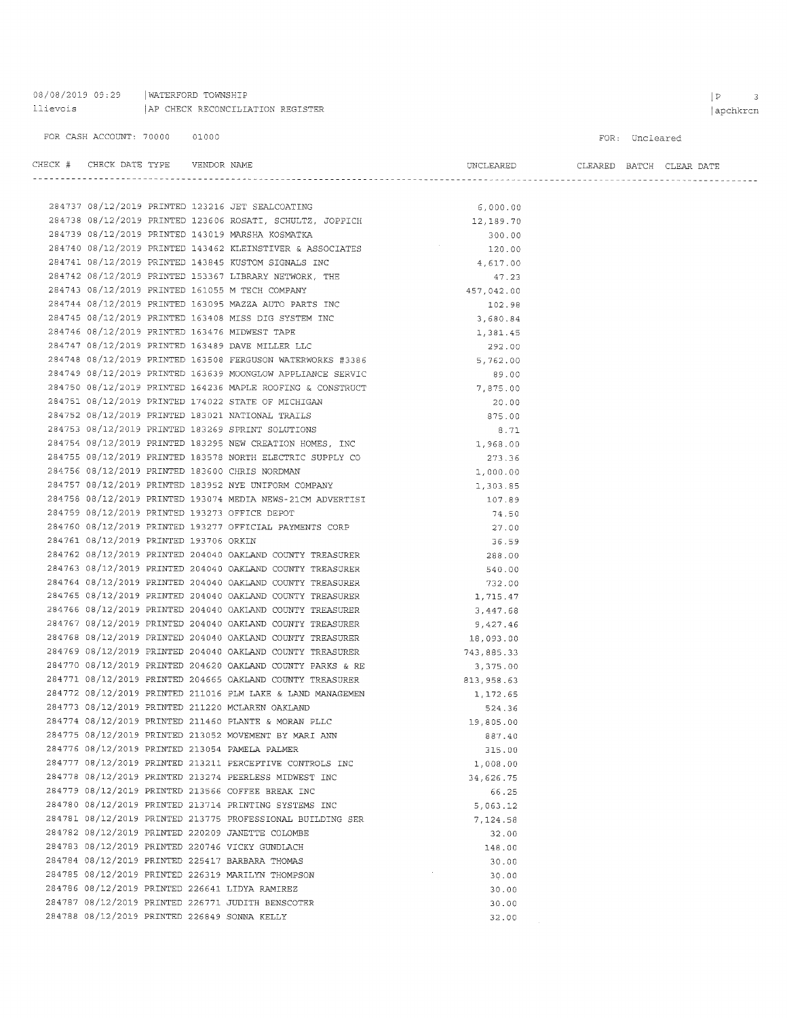08/08/2019 09:29 | WATERFORD TOWNSHIP AP CHECK RECONCILIATION REGISTER llievois

284752 08/12/2019 PRINTED 183021 NATIONAL TRAILS

284753 08/12/2019 PRINTED 183269 SPRINT SOLUTIONS

284756 08/12/2019 PRINTED 183600 CHRIS NORDMAN

284759 08/12/2019 PRINTED 193273 OFFICE DEPOT

284761 08/12/2019 PRINTED 193706 ORKIN

284754 08/12/2019 PRINTED 183295 NEW CREATION HOMES, INC

284755 08/12/2019 PRINTED 183578 NORTH ELECTRIC SUPPLY CO

284758 08/12/2019 PRINTED 193074 MEDIA NEWS-21CM ADVERTISI

284760 08/12/2019 PRINTED 193277 OFFICIAL PAYMENTS CORP

284762 08/12/2019 PRINTED 204040 OAKLAND COUNTY TREASURER

284763 08/12/2019 PRINTED 204040 OAKLAND COUNTY TREASURER

284764 08/12/2019 PRINTED 204040 OAKLAND COUNTY TREASURER

284765 08/12/2019 PRINTED 204040 OAKLAND COUNTY TREASURER

284766 08/12/2019 PRINTED 204040 OAKLAND COUNTY TREASURER

284767 08/12/2019 PRINTED 204040 OAKLAND COUNTY TREASURER

284768 08/12/2019 PRINTED 204040 OAKLAND COUNTY TREASURER

284769 08/12/2019 PRINTED 204040 OAKLAND COUNTY TREASURER

284770 08/12/2019 PRINTED 204620 OAKLAND COUNTY PARKS & RE

284771 08/12/2019 PRINTED 204665 OAKLAND COUNTY TREASURER

284772 08/12/2019 PRINTED 211016 PLM LAKE & LAND MANAGEMEN

284773 08/12/2019 PRINTED 211220 MCLAREN OAKLAND

284776 08/12/2019 PRINTED 213054 PAMELA PALMER

284779 08/12/2019 PRINTED 213566 COFFEE BREAK INC

284782 08/12/2019 PRINTED 220209 JANETTE COLOMBE

284783 08/12/2019 PRINTED 220746 VICKY GUNDLACH

284784 08/12/2019 PRINTED 225417 BARBARA THOMAS

284786 08/12/2019 PRINTED 226641 LIDYA RAMIREZ

284788 08/12/2019 PRINTED 226849 SONNA KELLY

284785 08/12/2019 PRINTED 226319 MARILYN THOMPSON

284787 08/12/2019 PRINTED 226771 JUDITH BENSCOTER

284774 08/12/2019 PRINTED 211460 PLANTE & MORAN PLLC

284775 08/12/2019 PRINTED 213052 MOVEMENT BY MARI ANN

284777 08/12/2019 PRINTED 213211 PERCEPTIVE CONTROLS INC

284781 08/12/2019 PRINTED 213775 PROFESSIONAL BUILDING SER

284778 08/12/2019 PRINTED 213274 PEERLESS MIDWEST INC

284780 08/12/2019 PRINTED 213714 PRINTING SYSTEMS INC

284757 08/12/2019 PRINTED 183952 NYE UNIFORM COMPANY

FOR: Uncleared

| CHECK # CHECK DATE TYPE | VENDOR NAME |                                                            | UNCLEARED  |  | CLEARED BATCH CLEAR DATE |
|-------------------------|-------------|------------------------------------------------------------|------------|--|--------------------------|
|                         |             |                                                            |            |  |                          |
|                         |             | 284737 08/12/2019 PRINTED 123216 JET SEALCOATING           | 6,000.00   |  |                          |
|                         |             | 284738 08/12/2019 PRINTED 123606 ROSATI, SCHULTZ, JOPPICH  | 12,189.70  |  |                          |
|                         |             | 284739 08/12/2019 PRINTED 143019 MARSHA KOSMATKA           | 300.00     |  |                          |
|                         |             | 284740 08/12/2019 PRINTED 143462 KLEINSTIVER & ASSOCIATES  | 120.00     |  |                          |
|                         |             | 284741 08/12/2019 PRINTED 143845 KUSTOM SIGNALS INC        | 4,617.00   |  |                          |
|                         |             | 284742 08/12/2019 PRINTED 153367 LIBRARY NETWORK, THE      | 47.23      |  |                          |
|                         |             | 284743 08/12/2019 PRINTED 161055 M TECH COMPANY            | 457,042.00 |  |                          |
|                         |             | 284744 08/12/2019 PRINTED 163095 MAZZA AUTO PARTS INC      | 102.98     |  |                          |
|                         |             | 284745 08/12/2019 PRINTED 163408 MISS DIG SYSTEM INC       | 3,680.84   |  |                          |
|                         |             | 284746 08/12/2019 PRINTED 163476 MIDWEST TAPE              | 1,381.45   |  |                          |
|                         |             | 284747 08/12/2019 PRINTED 163489 DAVE MILLER LLC           | 292.00     |  |                          |
|                         |             | 284748 08/12/2019 PRINTED 163508 FERGUSON WATERWORKS #3386 | 5,762.00   |  |                          |
|                         |             | 284749 08/12/2019 PRINTED 163639 MOONGLOW APPLIANCE SERVIC | 89.00      |  |                          |
|                         |             | 284750 08/12/2019 PRINTED 164236 MAPLE ROOFING & CONSTRUCT | 7,875.00   |  |                          |
|                         |             | 284751 08/12/2019 PRINTED 174022 STATE OF MICHIGAN         | 20.00      |  |                          |

875.00

1,968.00

 $1,000.00$ 

1,303.85

107.89

74.50

 $27.00$ 

36.59

288.00

540.00

732.00

1,715.47

3,447.68

9,427,46

18,093.00

3.375.00

743,885.33

813,958.63

1,172,65

19,805.00

887.40

315.00

1,008.00

34,626.75

5.063 12

7.124.58

66.25

32.00

148.00

 $\sim$   $\sim$ 

 $30.00$ 

 $30.00$ 

 $30.00$ 

 $30.00$ 

 $32.00$ 

524.36

273.36

8.71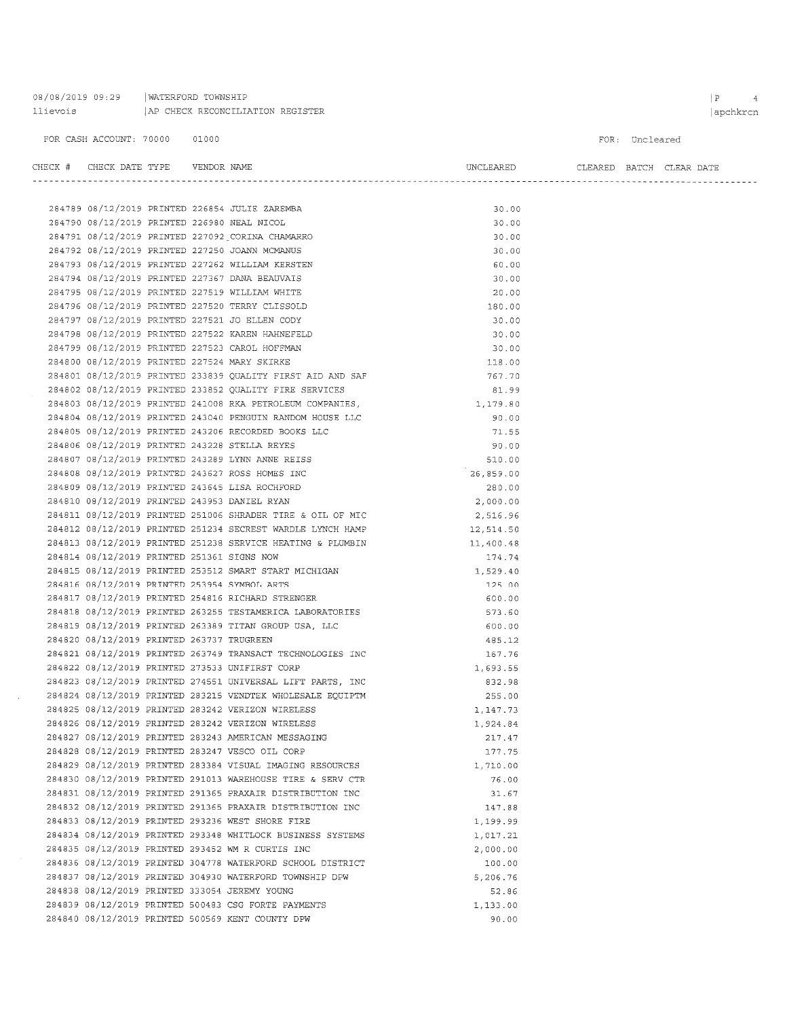| 08/08/2019 09:29 |  | WATERFORD TOWNSHIP               |  |
|------------------|--|----------------------------------|--|
| llievois         |  | AP CHECK RECONCILIATION REGISTER |  |

284837 08/12/2019 PRINTED 304930 WATERFORD TOWNSHIP DPW

284839 08/12/2019 PRINTED 500483 CSG FORTE PAYMENTS

284840 08/12/2019 PRINTED 500569 KENT COUNTY DPW

284838 08/12/2019 PRINTED 333054 JEREMY YOUNG

#### FOR CASH ACCOUNT: 70000 01000

CHECK # CHECK DATE TYPE VENDOR NAME

FOR: Uncleared

CLEARED BATCH CLEAR DATE

UNCLEARED

 $5,206.76$ 

52.86

 $90.00$ 

 $1,133.00$ 

| 284789 08/12/2019 PRINTED 226854 JULIE ZAREMBA<br>284790 08/12/2019 PRINTED 226980 NEAL NICOL<br>284791 08/12/2019 PRINTED 227092 CORINA CHAMARRO | 30.00     |  |
|---------------------------------------------------------------------------------------------------------------------------------------------------|-----------|--|
|                                                                                                                                                   | 30.00     |  |
|                                                                                                                                                   | 30.00     |  |
| 284792 08/12/2019 PRINTED 227250 JOANN MCMANUS                                                                                                    | 30.00     |  |
| 284793 08/12/2019 PRINTED 227262 WILLIAM KERSTEN                                                                                                  | 60.00     |  |
| 284794 08/12/2019 PRINTED 227367 DANA BEAUVAIS                                                                                                    | 30.00     |  |
| 284795 08/12/2019 PRINTED 227519 WILLIAM WHITE                                                                                                    | 20.00     |  |
| 284796 08/12/2019 PRINTED 227520 TERRY CLISSOLD                                                                                                   | 180.00    |  |
| 284797 08/12/2019 PRINTED 227521 JO ELLEN CODY                                                                                                    | 30.00     |  |
| 284798 08/12/2019 PRINTED 227522 KAREN HAHNEFELD                                                                                                  | 30.00     |  |
| 284799 08/12/2019 PRINTED 227523 CAROL HOFFMAN                                                                                                    | 30.00     |  |
| 284800 08/12/2019 PRINTED 227524 MARY SKIRKE                                                                                                      | 118.00    |  |
| 284801 08/12/2019 PRINTED 233839 QUALITY FIRST AID AND SAF                                                                                        | 767.70    |  |
| 284802 08/12/2019 PRINTED 233852 QUALITY FIRE SERVICES                                                                                            | 81.99     |  |
| 284803 08/12/2019 PRINTED 241008 RKA PETROLEUM COMPANIES, $1,179.80$                                                                              |           |  |
| 284804 08/12/2019 PRINTED 243040 PENGUIN RANDOM HOUSE LLC                                                                                         | 90.00     |  |
| 284805 08/12/2019 PRINTED 243206 RECORDED BOOKS LLC                                                                                               | 71.55     |  |
| 284806 08/12/2019 PRINTED 243228 STELLA REYES                                                                                                     | 90.00     |  |
| 284807 08/12/2019 PRINTED 243289 LYNN ANNE REISS                                                                                                  | 510.00    |  |
| 284808 08/12/2019 PRINTED 243627 ROSS HOMES INC                                                                                                   | 26,859.00 |  |
| 284809 08/12/2019 PRINTED 243645 LISA ROCHFORD                                                                                                    | 280.00    |  |
| 284810 08/12/2019 PRINTED 243953 DANIEL RYAN                                                                                                      | 2,000.00  |  |
| 284811 08/12/2019 PRINTED 251006 SHRADER TIRE & OIL OF MIC                                                                                        | 2,516.96  |  |
| 284812 08/12/2019 PRINTED 251234 SECREST WARDLE LYNCH HAMP                                                                                        | 12,514.50 |  |
| 284813 08/12/2019 PRINTED 251238 SERVICE HEATING & PLUMBIN                                                                                        | 11,400.48 |  |
| 284814 08/12/2019 PRINTED 251361 SIGNS NOW                                                                                                        | 174.74    |  |
| 284815 08/12/2019 PRINTED 253512 SMART START MICHIGAN                                                                                             | 1,529.40  |  |
| 284816 08/12/2019 PRINTED 253954 SYMBOL ARTS                                                                                                      | 125.00    |  |
| 284817 08/12/2019 PRINTED 254816 RICHARD STRENGER                                                                                                 | 600.00    |  |
| 284818 08/12/2019 PRINTED 263255 TESTAMERICA LABORATORIES                                                                                         | 573.60    |  |
| 284819 08/12/2019 PRINTED 263389 TITAN GROUP USA, LLC                                                                                             | 600.00    |  |
| 284820 08/12/2019 PRINTED 263737 TRUGREEN                                                                                                         | 485.12    |  |
| 284821 08/12/2019 PRINTED 263749 TRANSACT TECHNOLOGIES INC                                                                                        | 167.76    |  |
| 284822 08/12/2019 PRINTED 273533 UNIFIRST CORP                                                                                                    | 1,693.55  |  |
| 284823 08/12/2019 PRINTED 274551 UNIVERSAL LIFT PARTS, INC                                                                                        | 832.98    |  |
| 284824 08/12/2019 PRINTED 283215 VENDTEK WHOLESALE EQUIPTM                                                                                        | 255.00    |  |
| 284825 08/12/2019 PRINTED 283242 VERIZON WIRELESS                                                                                                 | 1,147.73  |  |
| 284826 08/12/2019 PRINTED 283242 VERIZON WIRELESS                                                                                                 | 1,924.84  |  |
| 284827 08/12/2019 PRINTED 283243 AMERICAN MESSAGING                                                                                               | 217.47    |  |
| 284828 08/12/2019 PRINTED 283247 VESCO OIL CORP                                                                                                   | 177.75    |  |
| 284829 08/12/2019 PRINTED 283384 VISUAL IMAGING RESOURCES                                                                                         | 1,710.00  |  |
| 284830 08/12/2019 PRINTED 291013 WAREHOUSE TIRE & SERV CTR                                                                                        | 76.00     |  |
| 284831 08/12/2019 PRINTED 291365 PRAXAIR DISTRIBUTION INC                                                                                         | 31.67     |  |
| 284832 08/12/2019 PRINTED 291365 PRAXAIR DISTRIBUTION INC                                                                                         | 147.88    |  |
| 284833 08/12/2019 PRINTED 293236 WEST SHORE FIRE                                                                                                  | 1,199.99  |  |
| 284834 08/12/2019 PRINTED 293348 WHITLOCK BUSINESS SYSTEMS                                                                                        | 1,017.21  |  |
| 284835 08/12/2019 PRINTED 293452 WM R CURTIS INC                                                                                                  | 2,000.00  |  |
| 284836 08/12/2019 PRINTED 304778 WATERFORD SCHOOL DISTRICT                                                                                        | 100.00    |  |
|                                                                                                                                                   |           |  |

 $\begin{array}{|c|c|c|c|c|} \hline P & \multicolumn{1}{|c|}{4} \\\hline \end{array}$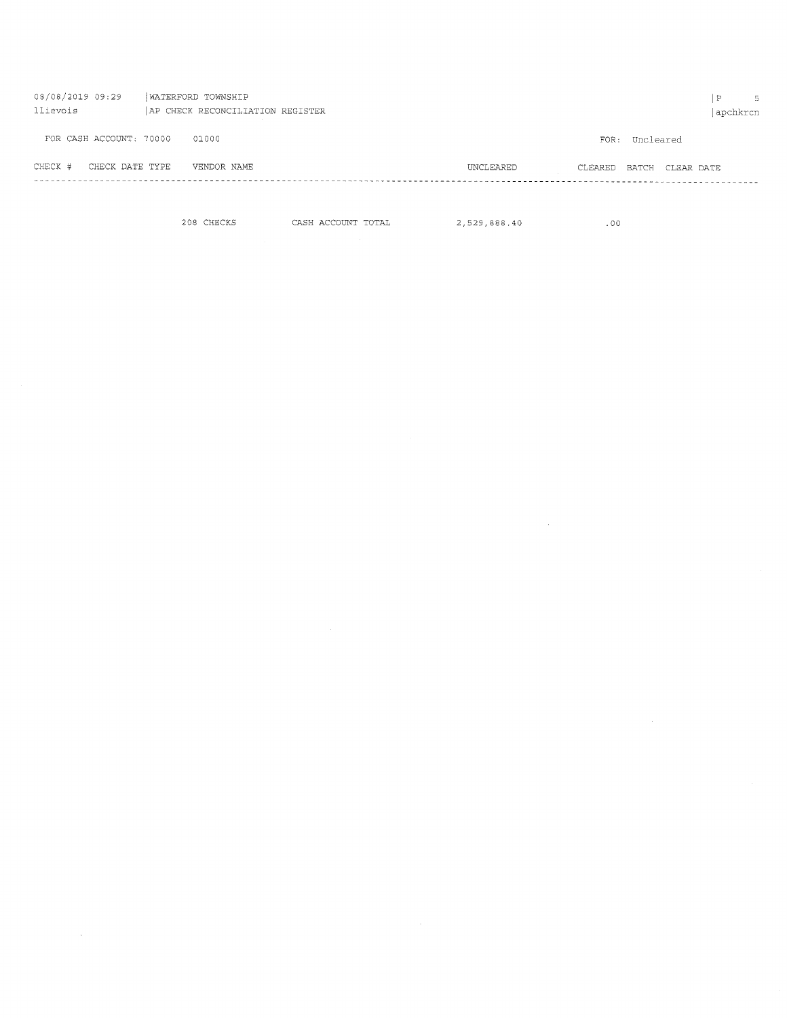| 08/08/2019 09:29<br>llievois | WATERFORD TOWNSHIP<br>AP CHECK RECONCILIATION REGISTER |                      |                  | ₽<br>apchkrcn | $5 -$ |
|------------------------------|--------------------------------------------------------|----------------------|------------------|---------------|-------|
| FOR CASH ACCOUNT: 70000      | 01000                                                  | FOR:                 | Uncleared        |               |       |
| CHECK #<br>CHECK DATE TYPE   | VENDOR NAME                                            | UNCLEARED<br>CLEARED | BATCH CLEAR DATE |               |       |
|                              |                                                        |                      |                  |               |       |

 $\mathcal{A}^{\mathcal{A}}$ 

 $2.529,888.40$  CHECKS CASH ACCOUNT TOTAL 2,529,888.40

 $\bar{z}$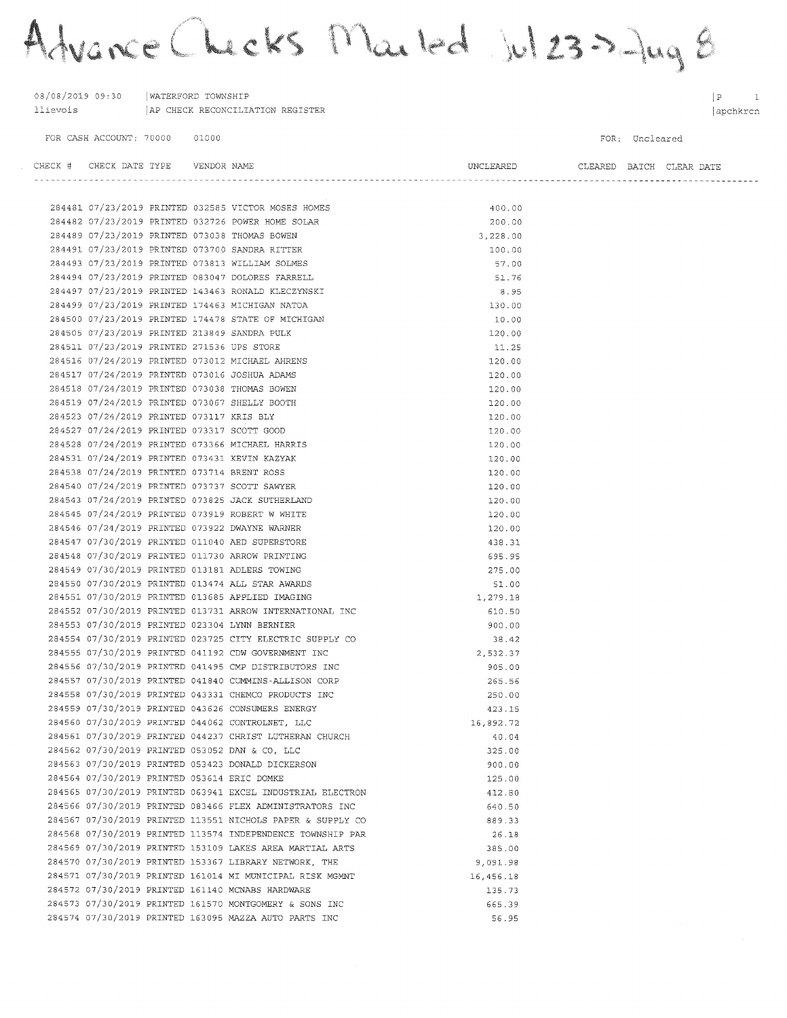Advance Checks Marted Jul 23 > Jug 8

| 08/08/2019 09:30   WATERFORD TOWNSHIP         | 11ievois   AP CHECK RECONCILIATION REGISTER                |                                    |                | P <br>1<br>apchkrcn |
|-----------------------------------------------|------------------------------------------------------------|------------------------------------|----------------|---------------------|
| FOR CASH ACCOUNT: 70000 01000                 |                                                            |                                    | FOR: Uncleared |                     |
| CHECK # CHECK DATE TYPE    VENDOR NAME        |                                                            | UNCLEARED CLEARED BATCH CLEAR DATE |                |                     |
|                                               | 284481 07/23/2019 PRINTED 032585 VICTOR MOSES HOMES        | 400.00                             |                |                     |
|                                               | 284482 07/23/2019 PRINTED 032726 POWER HOME SOLAR          | 200.00                             |                |                     |
|                                               | 284489 07/23/2019 PRINTED 073038 THOMAS BOWEN              | 3,228.00                           |                |                     |
|                                               | 284491 07/23/2019 PRINTED 073700 SANDRA RITTER             | 100.00                             |                |                     |
|                                               | 284493 07/23/2019 PRINTED 073813 WILLIAM SOLMES            | 57.00                              |                |                     |
|                                               | 284494 07/23/2019 PRINTED 083047 DOLORES FARRELL           | 51.76                              |                |                     |
|                                               | 284497 07/23/2019 PRINTED 143463 RONALD KLECZYNSKI         | 8.95                               |                |                     |
|                                               | 284499 07/23/2019 PRINTED 174463 MICHIGAN NATOA            | 130.00                             |                |                     |
|                                               | 284500 07/23/2019 PRINTED 174478 STATE OF MICHIGAN         | 10.00                              |                |                     |
| 284505 07/23/2019 PRINTED 213849 SANDRA PULK  |                                                            | 120.00                             |                |                     |
| 284511 07/23/2019 PRINTED 271536 UPS STORE    |                                                            | 11.25                              |                |                     |
|                                               | 284516 07/24/2019 PRINTED 073012 MICHAEL AHRENS            | 120.00                             |                |                     |
|                                               | 284517 07/24/2019 PRINTED 073016 JOSHUA ADAMS              | 120.00                             |                |                     |
|                                               | 284518 07/24/2019 PRINTED 073038 THOMAS BOWEN              | 120.00                             |                |                     |
|                                               | 284519 07/24/2019 PRINTED 073067 SHELLY BOOTH              | 120.00                             |                |                     |
| 284523 07/24/2019 PRINTED 073117 KRIS BLY     |                                                            | 120.00                             |                |                     |
| 284527 07/24/2019 PRINTED 073317 SCOTT GOOD   |                                                            | 120.00                             |                |                     |
|                                               | 284528 07/24/2019 PRINTED 073366 MICHAEL HARRIS            | 120.00                             |                |                     |
|                                               | 284531 07/24/2019 PRINTED 073431 KEVIN KAZYAK              | 120.00                             |                |                     |
| 284538 07/24/2019 PRINTED 073714 BRENT ROSS   |                                                            | 120.00                             |                |                     |
|                                               | 284540 07/24/2019 PRINTED 073737 SCOTT SAWYER              | 120.00                             |                |                     |
|                                               | 284543 07/24/2019 PRINTED 073825 JACK SUTHERLAND           | 120.00                             |                |                     |
|                                               | 284545 07/24/2019 PRINTED 073919 ROBERT W WHITE            | 120.00                             |                |                     |
|                                               | 284546 07/24/2019 PRINTED 073922 DWAYNE WARNER             | 120.00                             |                |                     |
|                                               | 284547 07/30/2019 PRINTED 011040 AED SUPERSTORE            | 438.31                             |                |                     |
|                                               | 284548 07/30/2019 PRINTED 011730 ARROW PRINTING            | 695.95                             |                |                     |
|                                               | 284549 07/30/2019 PRINTED 013181 ADLERS TOWING             | 275.00                             |                |                     |
|                                               | 284550 07/30/2019 PRINTED 013474 ALL STAR AWARDS           | 51.00                              |                |                     |
|                                               | 284551 07/30/2019 PRINTED 013685 APPLIED IMAGING           | 1,279.18                           |                |                     |
|                                               | 284552 07/30/2019 PRINTED 013731 ARROW INTERNATIONAL INC   | 610.50                             |                |                     |
| 284553 07/30/2019 PRINTED 023304 LYNN BERNIER |                                                            | 900.00                             |                |                     |
|                                               | 284554 07/30/2019 PRINTED 023725 CITY ELECTRIC SUPPLY CO   | 38.42                              |                |                     |
|                                               | 284555 07/30/2019 PRINTED 041192 CDW GOVERNMENT INC        | 2,532.37                           |                |                     |
|                                               | 284556 07/30/2019 PRINTED 041495 CMP DISTRIBUTORS INC      | 905.00                             |                |                     |
|                                               | 284557 07/30/2019 PRINTED 041840 CUMMINS-ALLISON CORP      | 265.56                             |                |                     |
|                                               | 284558 07/30/2019 PRINTED 043331 CHEMCO PRODUCTS INC       | 250.00                             |                |                     |
|                                               | 284559 07/30/2019 PRINTED 043626 CONSUMERS ENERGY          | 423.15                             |                |                     |
|                                               | 284560 07/30/2019 PRINTED 044062 CONTROLNET, LLC           | 16,892.72                          |                |                     |
|                                               | 284561 07/30/2019 PRINTED 044237 CHRIST LUTHERAN CHURCH    | 40.04                              |                |                     |
|                                               | 284562 07/30/2019 PRINTED 053052 DAN & CO, LLC             | 325.00                             |                |                     |
|                                               | 284563 07/30/2019 PRINTED 053423 DONALD DICKERSON          | 900.00                             |                |                     |
| 284564 07/30/2019 PRINTED 053614 ERIC DOMKE   |                                                            | 125.00                             |                |                     |
|                                               | 284565 07/30/2019 PRINTED 063941 EXCEL INDUSTRIAL ELECTRON | 412.80                             |                |                     |
|                                               | 284566 07/30/2019 PRINTED 083466 FLEX ADMINISTRATORS INC   | 640.50                             |                |                     |
|                                               | 284567 07/30/2019 PRINTED 113551 NICHOLS PAPER & SUPPLY CO | 889.33                             |                |                     |
|                                               | 284568 07/30/2019 PRINTED 113574 INDEPENDENCE TOWNSHIP PAR | 26.18                              |                |                     |
|                                               | 284569 07/30/2019 PRINTED 153109 LAKES AREA MARTIAL ARTS   | 385.00                             |                |                     |
|                                               | 284570 07/30/2019 PRINTED 153367 LIBRARY NETWORK, THE      | 9,091.98                           |                |                     |
|                                               | 284571 07/30/2019 PRINTED 161014 MI MUNICIPAL RISK MGMNT   | 16,456.18                          |                |                     |
|                                               | 284572 07/30/2019 PRINTED 161140 MCNABS HARDWARE           | 135.73                             |                |                     |
|                                               | 284573 07/30/2019 PRINTED 161570 MONTGOMERY & SONS INC     | 665.39                             |                |                     |
|                                               | 284574 07/30/2019 PRINTED 163095 MAZZA AUTO PARTS INC      | 56.95                              |                |                     |